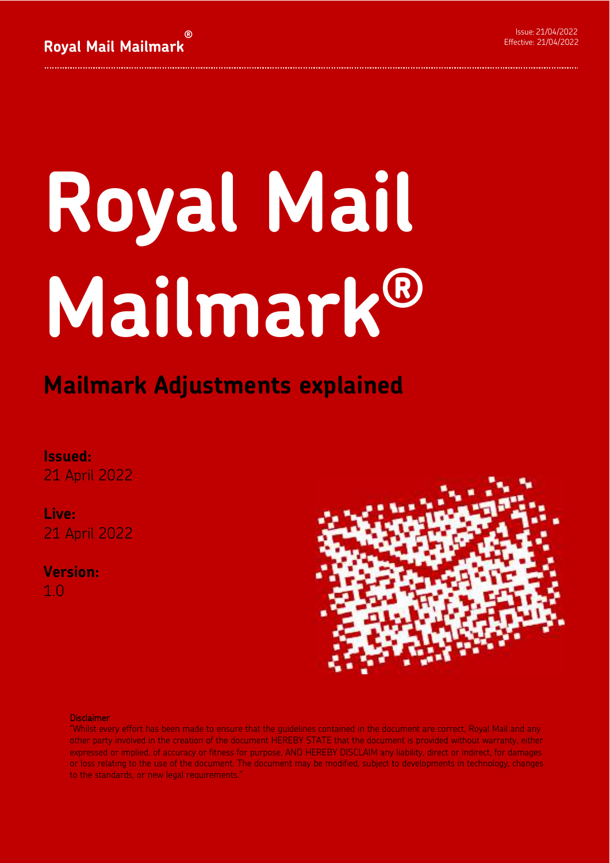# **Royal Mail Mailmark®**

### **Mailmark Adjustments explained**

### **Issued:**

21 April 2022

**Live:**  21 April 2022

**Version:**  1.0



### Disclaimer

"Whilst every effort has been made to ensure that the guidelines contained in the document are correct, Royal Mail and any other party involved in the creation of the document HEREBY STATE that the document is provided without warranty, either expressed or implied, of accuracy or fitness for purpose, AND HEREBY DISCLAIM any liability, direct or indirect, for damages or loss relating to the use of the document. The document may be modified, subject to developments in technology, changes to the standards, or new legal requirements.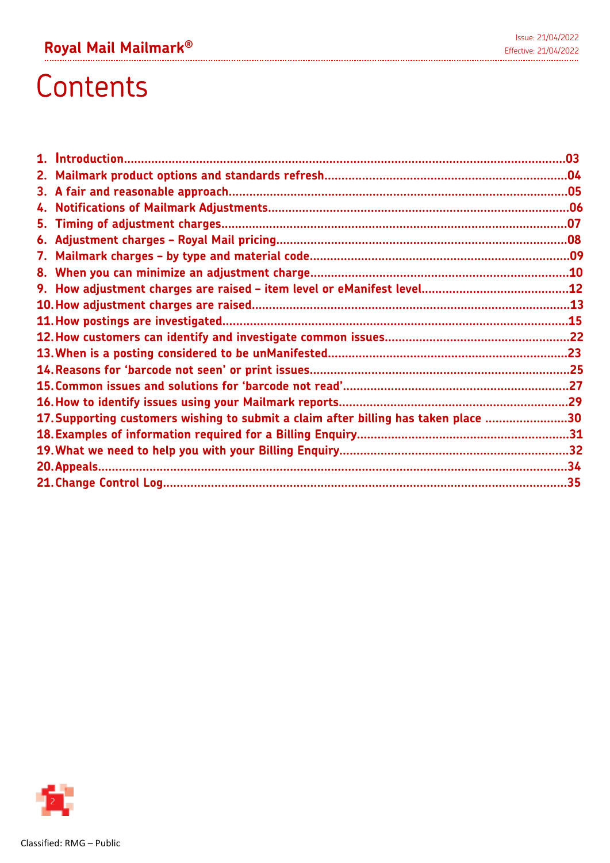# **Contents**

|    |                                                                                     | .03 |
|----|-------------------------------------------------------------------------------------|-----|
|    |                                                                                     |     |
| 3. |                                                                                     |     |
| 4. |                                                                                     |     |
| 5. |                                                                                     |     |
| 6. |                                                                                     |     |
| 7. |                                                                                     |     |
|    |                                                                                     |     |
|    |                                                                                     |     |
|    |                                                                                     |     |
|    |                                                                                     |     |
|    |                                                                                     |     |
|    |                                                                                     |     |
|    |                                                                                     |     |
|    |                                                                                     |     |
|    |                                                                                     |     |
|    | 17. Supporting customers wishing to submit a claim after billing has taken place 30 |     |
|    |                                                                                     |     |
|    |                                                                                     |     |
|    |                                                                                     |     |
|    |                                                                                     |     |

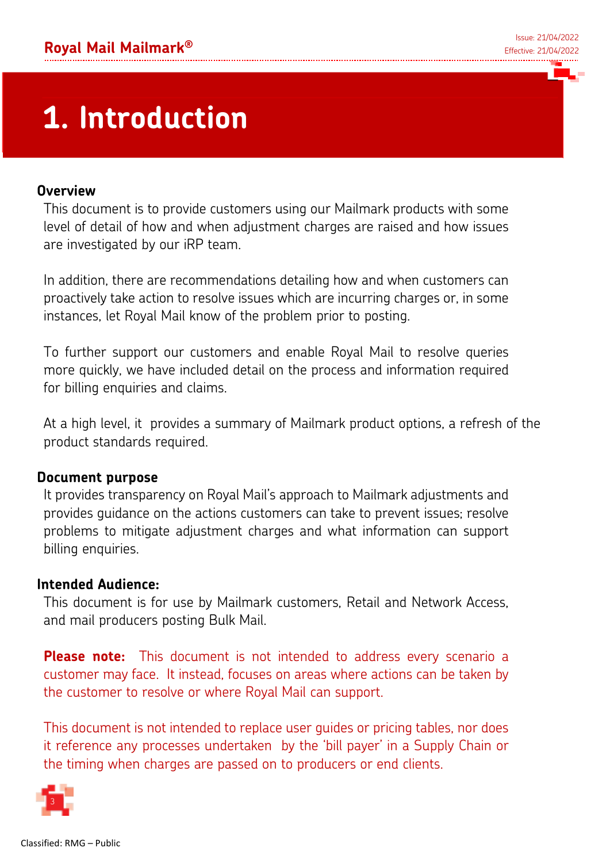# **1. Introduction**

### **Overview**

This document is to provide customers using our Mailmark products with some level of detail of how and when adjustment charges are raised and how issues are investigated by our iRP team.

In addition, there are recommendations detailing how and when customers can proactively take action to resolve issues which are incurring charges or, in some instances, let Royal Mail know of the problem prior to posting.

To further support our customers and enable Royal Mail to resolve queries more quickly, we have included detail on the process and information required for billing enquiries and claims.

At a high level, it provides a summary of Mailmark product options, a refresh of the product standards required.

### **Document purpose**

It provides transparency on Royal Mail's approach to Mailmark adjustments and provides guidance on the actions customers can take to prevent issues; resolve problems to mitigate adjustment charges and what information can support billing enquiries.

### **Intended Audience:**

This document is for use by Mailmark customers, Retail and Network Access, and mail producers posting Bulk Mail.

**Please note:** This document is not intended to address every scenario a customer may face. It instead, focuses on areas where actions can be taken by the customer to resolve or where Royal Mail can support.

This document is not intended to replace user guides or pricing tables, nor does it reference any processes undertaken by the 'bill payer' in a Supply Chain or the timing when charges are passed on to producers or end clients.

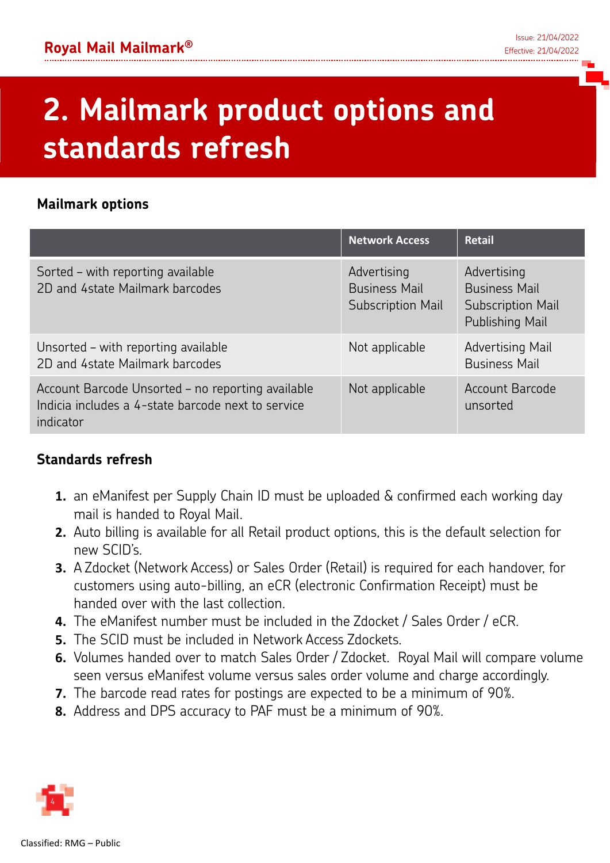# **2. Mailmark product options and standards refresh**

### **Mailmark options**

|                                                                                                                      | <b>Network Access</b>                                           | <b>Retail</b>                                                                      |
|----------------------------------------------------------------------------------------------------------------------|-----------------------------------------------------------------|------------------------------------------------------------------------------------|
| Sorted - with reporting available<br>2D and 4state Mailmark barcodes                                                 | Advertising<br><b>Business Mail</b><br><b>Subscription Mail</b> | Advertising<br><b>Business Mail</b><br><b>Subscription Mail</b><br>Publishing Mail |
| Unsorted - with reporting available<br>2D and 4state Mailmark barcodes                                               | Not applicable                                                  | <b>Advertising Mail</b><br><b>Business Mail</b>                                    |
| Account Barcode Unsorted - no reporting available<br>Indicia includes a 4-state barcode next to service<br>indicator | Not applicable                                                  | <b>Account Barcode</b><br>unsorted                                                 |

### **Standards refresh**

- **1.** an eManifest per Supply Chain ID must be uploaded & confirmed each working day mail is handed to Royal Mail.
- **2.** Auto billing is available for all Retail product options, this is the default selection for new SCID's.
- **3.** A Zdocket (Network Access) or Sales Order (Retail) is required for each handover, for customers using auto-billing, an eCR (electronic Confirmation Receipt) must be handed over with the last collection.
- **4.** The eManifest number must be included in the Zdocket / Sales Order / eCR.
- **5.** The SCID must be included in Network Access Zdockets.
- **6.** Volumes handed over to match Sales Order / Zdocket. Royal Mail will compare volume seen versus eManifest volume versus sales order volume and charge accordingly.
- **7.** The barcode read rates for postings are expected to be a minimum of 90%.
- **8.** Address and DPS accuracy to PAF must be a minimum of 90%.

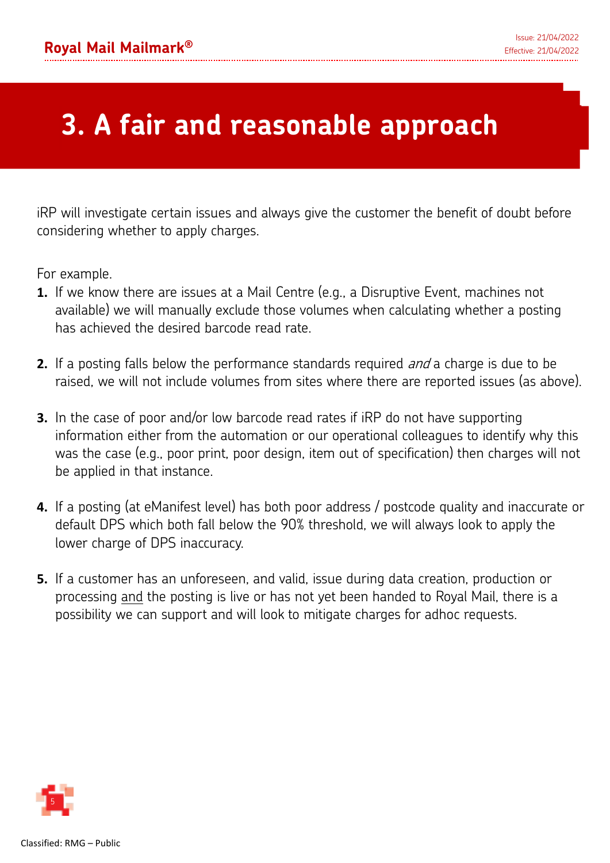# **3. A fair and reasonable approach**

iRP will investigate certain issues and always give the customer the benefit of doubt before considering whether to apply charges.

For example.

- **1.** If we know there are issues at a Mail Centre (e.g., a Disruptive Event, machines not available) we will manually exclude those volumes when calculating whether a posting has achieved the desired barcode read rate.
- **2.** If a posting falls below the performance standards required *and* a charge is due to be raised, we will not include volumes from sites where there are reported issues (as above).
- **3.** In the case of poor and/or low barcode read rates if iRP do not have supporting information either from the automation or our operational colleagues to identify why this was the case (e.g., poor print, poor design, item out of specification) then charges will not be applied in that instance.
- **4.** If a posting (at eManifest level) has both poor address / postcode quality and inaccurate or default DPS which both fall below the 90% threshold, we will always look to apply the lower charge of DPS inaccuracy.
- **5.** If a customer has an unforeseen, and valid, issue during data creation, production or processing and the posting is live or has not yet been handed to Royal Mail, there is a possibility we can support and will look to mitigate charges for adhoc requests.

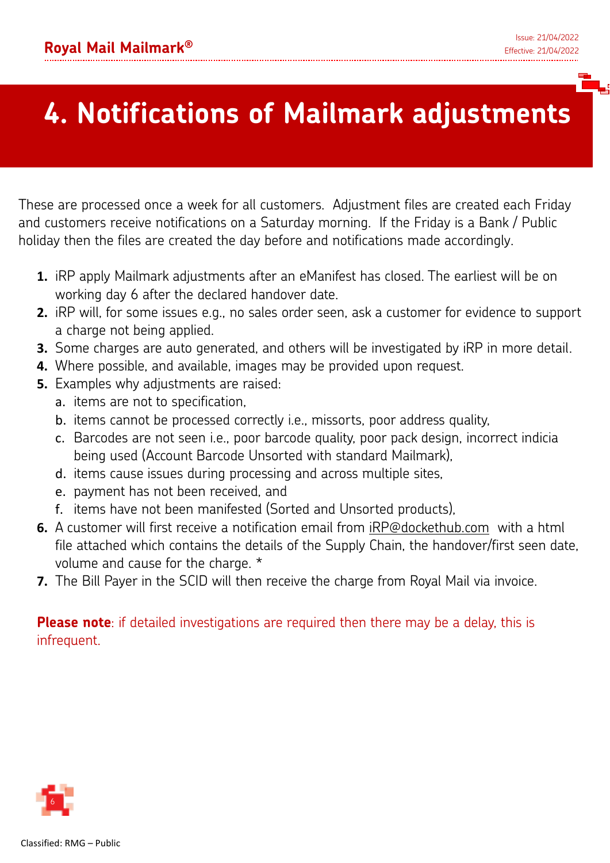# **4. Notifications of Mailmark adjustments**

These are processed once a week for all customers. Adjustment files are created each Friday and customers receive notifications on a Saturday morning. If the Friday is a Bank / Public holiday then the files are created the day before and notifications made accordingly.

- **1.** iRP apply Mailmark adjustments after an eManifest has closed. The earliest will be on working day 6 after the declared handover date.
- **2.** iRP will, for some issues e.g., no sales order seen, ask a customer for evidence to support a charge not being applied.
- **3.** Some charges are auto generated, and others will be investigated by iRP in more detail.
- **4.** Where possible, and available, images may be provided upon request.
- **5.** Examples why adjustments are raised:
	- a. items are not to specification,
	- b. items cannot be processed correctly i.e., missorts, poor address quality,
	- c. Barcodes are not seen i.e., poor barcode quality, poor pack design, incorrect indicia being used (Account Barcode Unsorted with standard Mailmark),
	- d. items cause issues during processing and across multiple sites,
	- e. payment has not been received, and
	- f. items have not been manifested (Sorted and Unsorted products),
- **6.** A customer will first receive a notification email from iRP@dockethub.com with a html file attached which contains the details of the Supply Chain, the handover/first seen date, volume and cause for the charge. \*
- **7.** The Bill Payer in the SCID will then receive the charge from Royal Mail via invoice.

**Please note**: if detailed investigations are required then there may be a delay, this is infrequent.

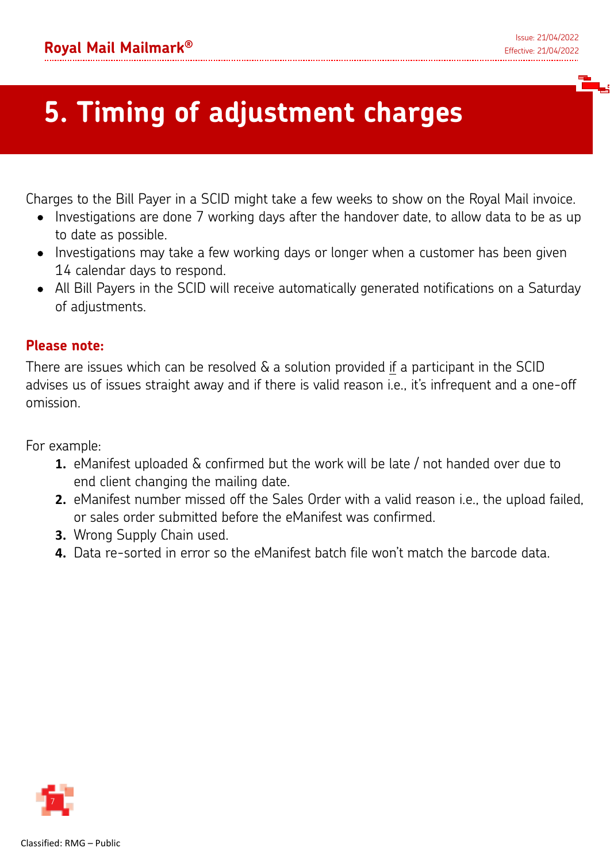# **5. Timing of adjustment charges**

Charges to the Bill Payer in a SCID might take a few weeks to show on the Royal Mail invoice.

- Investigations are done 7 working days after the handover date, to allow data to be as up to date as possible.
- Investigations may take a few working days or longer when a customer has been given 14 calendar days to respond.
- All Bill Payers in the SCID will receive automatically generated notifications on a Saturday of adjustments.

### **Please note:**

There are issues which can be resolved & a solution provided if a participant in the SCID advises us of issues straight away and if there is valid reason i.e., it's infrequent and a one-off omission.

For example:

- **1.** eManifest uploaded & confirmed but the work will be late / not handed over due to end client changing the mailing date.
- **2.** eManifest number missed off the Sales Order with a valid reason i.e., the upload failed, or sales order submitted before the eManifest was confirmed.
- **3.** Wrong Supply Chain used.
- **4.** Data re-sorted in error so the eManifest batch file won't match the barcode data.

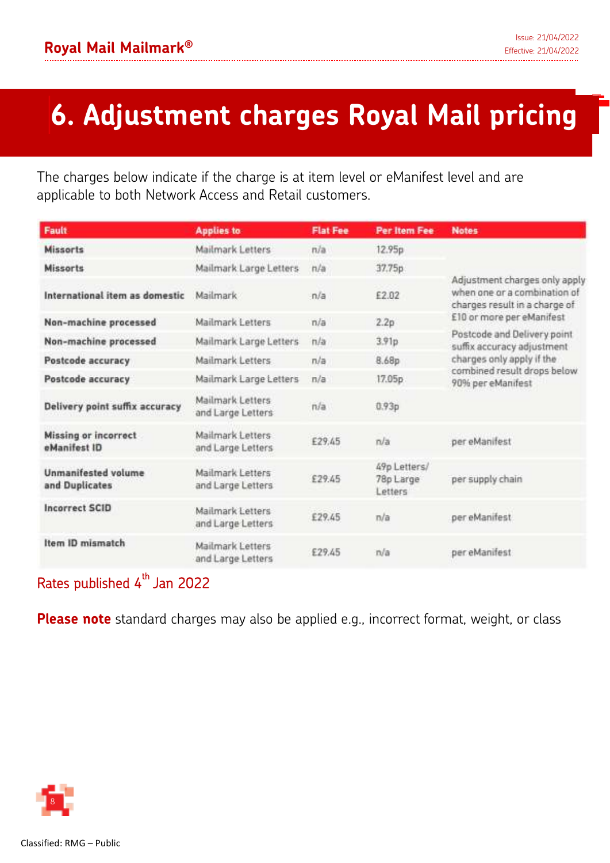# **6. Adjustment charges Royal Mail pricing**

The charges below indicate if the charge is at item level or eManifest level and are applicable to both Network Access and Retail customers.

| <b>Fault</b>                                 | <b>Applies to</b>                     | <b>Flat Fee</b> | <b>Per Item Fee</b>                  | <b>Notes</b>                                                                                   |
|----------------------------------------------|---------------------------------------|-----------------|--------------------------------------|------------------------------------------------------------------------------------------------|
| <b>Missorts</b>                              | Mailmark Letters                      | n/a             | 12.95p                               |                                                                                                |
| <b>Missorts</b>                              | Mailmark Large Letters                | n/a             | 37.75p                               |                                                                                                |
| International item as domestic               | <b>Mailmark</b>                       | n/a             | £2.02                                | Adjustment charges only apply<br>when one or a combination of<br>charges result in a charge of |
| Non-machine processed                        | Mailmark Letters                      | n/a             | 2.2p                                 | £10 or more per eManifest                                                                      |
| Non-machine processed                        | Mailmark Large Letters                | n/a             | 3.91p                                | Postcode and Delivery point<br>suffix accuracy adjustment                                      |
| Postcode accuracy                            | Mailmark Letters                      | n/a             | 8.68p                                | charges only apply if the                                                                      |
| Postcode accuracy                            | Mailmark Large Letters                | n/a             | 17.05p                               | combined result drops below<br>90% per eManifest                                               |
| Delivery point suffix accuracy               | Mailmark Letters<br>and Large Letters | n/a             | 0.93p                                |                                                                                                |
| <b>Missing or incorrect</b><br>eManifest ID  | Mailmark Letters<br>and Large Letters | £29.45          | n/a                                  | per eManifest                                                                                  |
| <b>Unmanifested volume</b><br>and Duplicates | Mailmark Letters<br>and Large Letters | £29.45          | 49p Letters/<br>78p Large<br>Letters | per supply chain                                                                               |
| <b>Incorrect SCID</b>                        | Mailmark Letters<br>and Large Letters | £29.45          | n/a                                  | per eManifest                                                                                  |
| Item ID mismatch                             | Mailmark Letters<br>and Large Letters | £29.45          | n/a                                  | per eManifest                                                                                  |

### Rates published 4<sup>th</sup> Jan 2022

**Please note** standard charges may also be applied e.g., incorrect format, weight, or class

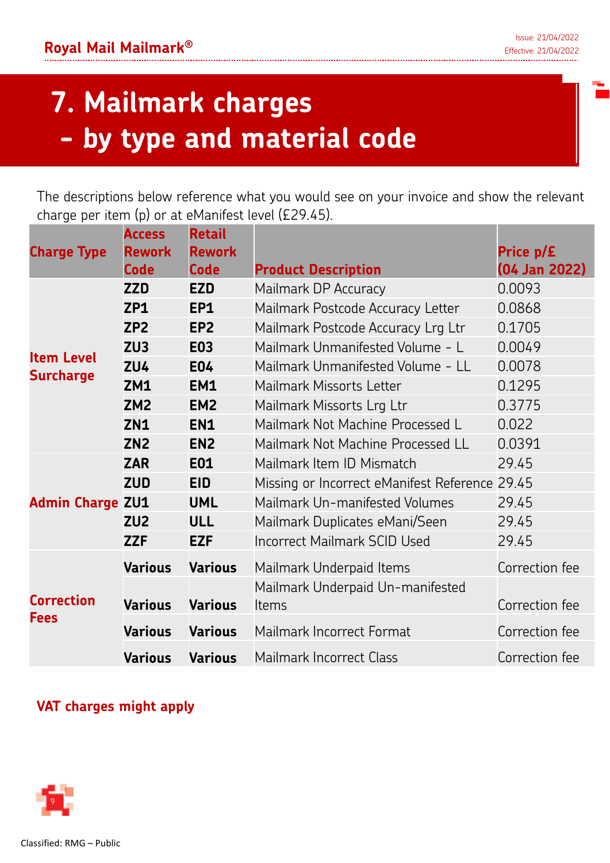# **7. Mailmark charges - by type and material code**

The descriptions below reference what you would see on your invoice and show the relevant charge per item (p) or at eManifest level (£29.45).

| <b>Charge Type</b>      | <b>Access</b><br><b>Rework</b> | <b>Retail</b><br><b>Rework</b> |                                          | Price p/£      |
|-------------------------|--------------------------------|--------------------------------|------------------------------------------|----------------|
|                         | <b>Code</b>                    | <b>Code</b>                    | <b>Product Description</b>               | (04 Jan 2022)  |
|                         | <b>ZZD</b>                     | <b>EZD</b>                     | Mailmark DP Accuracy                     | 0.0093         |
|                         | ZP1                            | EP1                            | Mailmark Postcode Accuracy Letter        | 0.0868         |
|                         | ZP <sub>2</sub>                | EP <sub>2</sub>                | Mailmark Postcode Accuracy Lrg Ltr       | 0.1705         |
| <b>Item Level</b>       | ZU <sub>3</sub>                | <b>E03</b>                     | Mailmark Unmanifested Volume - L         | 0.0049         |
| <b>Surcharge</b>        | <b>ZU4</b>                     | <b>E04</b>                     | Mailmark Unmanifested Volume - LL        | 0.0078         |
|                         | <b>ZM1</b>                     | EM1                            | Mailmark Missorts Letter                 | 0.1295         |
|                         | ZM <sub>2</sub>                | EM <sub>2</sub>                | Mailmark Missorts Lrg Ltr                | 0.3775         |
|                         | <b>ZN1</b>                     | <b>EN1</b>                     | Mailmark Not Machine Processed L         | 0.022          |
|                         | <b>ZN2</b>                     | EN <sub>2</sub>                | Mailmark Not Machine Processed LL        | 0.0391         |
|                         | <b>ZAR</b>                     | <b>E01</b>                     | Mailmark Item ID Mismatch                | 29.45          |
|                         | <b>ZUD</b>                     | <b>EID</b>                     | Missing or Incorrect eManifest Reference | 29.45          |
| <b>Admin Charge ZU1</b> |                                | <b>UML</b>                     | Mailmark Un-manifested Volumes           | 29.45          |
|                         | ZU <sub>2</sub>                | <b>ULL</b>                     | Mailmark Duplicates eMani/Seen           | 29.45          |
|                         | <b>ZZF</b>                     | <b>EZF</b>                     | <b>Incorrect Mailmark SCID Used</b>      | 29.45          |
|                         | <b>Various</b>                 | <b>Various</b>                 | Mailmark Underpaid Items                 | Correction fee |
| <b>Correction</b>       |                                |                                | Mailmark Underpaid Un-manifested         |                |
| <b>Fees</b>             | <b>Various</b>                 | <b>Various</b>                 | Items                                    | Correction fee |
|                         | <b>Various</b>                 | <b>Various</b>                 | Mailmark Incorrect Format                | Correction fee |
|                         | <b>Various</b>                 | <b>Various</b>                 | Mailmark Incorrect Class                 | Correction fee |

### **VAT charges might apply**

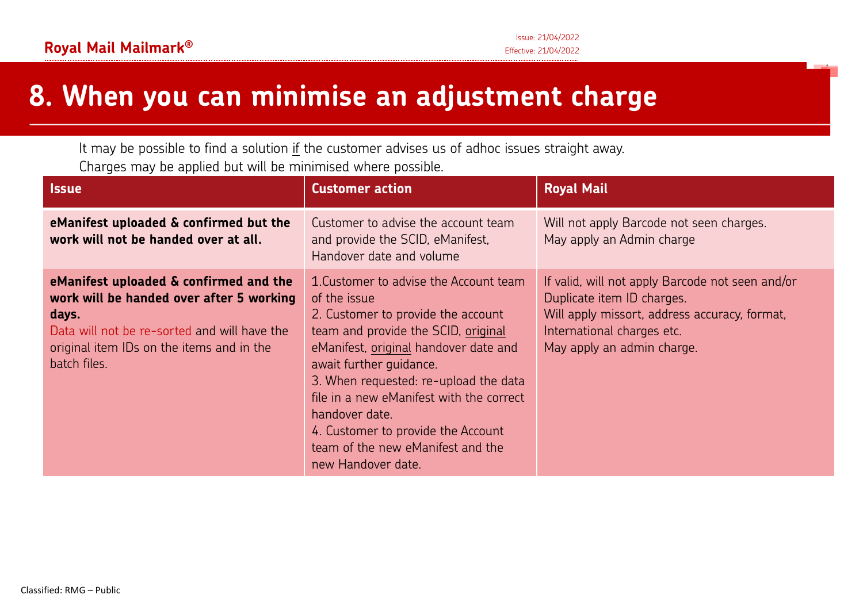### **8. When you can minimise an adjustment charge**

It may be possible to find a solution if the customer advises us of adhoc issues straight away. Charges may be applied but will be minimised where possible.

| <b>Issue</b>                                                                                                                                                                                             | <b>Customer action</b>                                                                                                                                                                                                                                                                                                                                                                                          | <b>Royal Mail</b>                                                                                                                                                                           |
|----------------------------------------------------------------------------------------------------------------------------------------------------------------------------------------------------------|-----------------------------------------------------------------------------------------------------------------------------------------------------------------------------------------------------------------------------------------------------------------------------------------------------------------------------------------------------------------------------------------------------------------|---------------------------------------------------------------------------------------------------------------------------------------------------------------------------------------------|
| eManifest uploaded & confirmed but the<br>work will not be handed over at all.                                                                                                                           | Customer to advise the account team<br>and provide the SCID, eManifest,<br>Handover date and volume                                                                                                                                                                                                                                                                                                             | Will not apply Barcode not seen charges.<br>May apply an Admin charge                                                                                                                       |
| eManifest uploaded & confirmed and the<br>work will be handed over after 5 working<br>days.<br>Data will not be re-sorted and will have the<br>original item IDs on the items and in the<br>batch files. | 1. Customer to advise the Account team<br>of the issue<br>2. Customer to provide the account<br>team and provide the SCID, original<br>eManifest, original handover date and<br>await further guidance.<br>3. When requested: re-upload the data<br>file in a new eManifest with the correct<br>handover date.<br>4. Customer to provide the Account<br>team of the new eManifest and the<br>new Handover date. | If valid, will not apply Barcode not seen and/or<br>Duplicate item ID charges.<br>Will apply missort, address accuracy, format,<br>International charges etc.<br>May apply an admin charge. |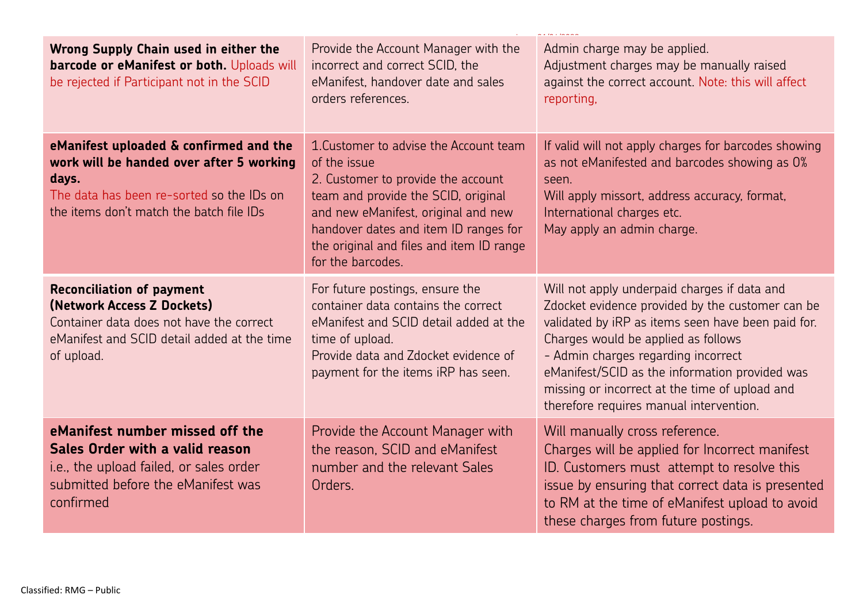| Wrong Supply Chain used in either the<br>barcode or eManifest or both. Uploads will<br>be rejected if Participant not in the SCID                                                    | Provide the Account Manager with the<br>incorrect and correct SCID, the<br>eManifest, handover date and sales<br>orders references.                                                                                                                                                  | Admin charge may be applied.<br>Adjustment charges may be manually raised<br>against the correct account. Note: this will affect<br>reporting,                                                                                                                                                                                                                                      |
|--------------------------------------------------------------------------------------------------------------------------------------------------------------------------------------|--------------------------------------------------------------------------------------------------------------------------------------------------------------------------------------------------------------------------------------------------------------------------------------|-------------------------------------------------------------------------------------------------------------------------------------------------------------------------------------------------------------------------------------------------------------------------------------------------------------------------------------------------------------------------------------|
| eManifest uploaded & confirmed and the<br>work will be handed over after 5 working<br>days.<br>The data has been re-sorted so the IDs on<br>the items don't match the batch file IDs | 1. Customer to advise the Account team<br>of the issue<br>2. Customer to provide the account<br>team and provide the SCID, original<br>and new eManifest, original and new<br>handover dates and item ID ranges for<br>the original and files and item ID range<br>for the barcodes. | If valid will not apply charges for barcodes showing<br>as not eManifested and barcodes showing as 0%<br>seen.<br>Will apply missort, address accuracy, format,<br>International charges etc.<br>May apply an admin charge.                                                                                                                                                         |
| <b>Reconciliation of payment</b><br>(Network Access Z Dockets)<br>Container data does not have the correct<br>eManifest and SCID detail added at the time<br>of upload.              | For future postings, ensure the<br>container data contains the correct<br>eManifest and SCID detail added at the<br>time of upload.<br>Provide data and Zdocket evidence of<br>payment for the items iRP has seen.                                                                   | Will not apply underpaid charges if data and<br>Zdocket evidence provided by the customer can be<br>validated by iRP as items seen have been paid for.<br>Charges would be applied as follows<br>- Admin charges regarding incorrect<br>eManifest/SCID as the information provided was<br>missing or incorrect at the time of upload and<br>therefore requires manual intervention. |
| eManifest number missed off the<br>Sales Order with a valid reason<br>i.e., the upload failed, or sales order<br>submitted before the eManifest was<br>confirmed                     | Provide the Account Manager with<br>the reason, SCID and eManifest<br>number and the relevant Sales<br>Orders.                                                                                                                                                                       | Will manually cross reference.<br>Charges will be applied for Incorrect manifest<br>ID. Customers must attempt to resolve this<br>issue by ensuring that correct data is presented<br>to RM at the time of eManifest upload to avoid<br>these charges from future postings.                                                                                                         |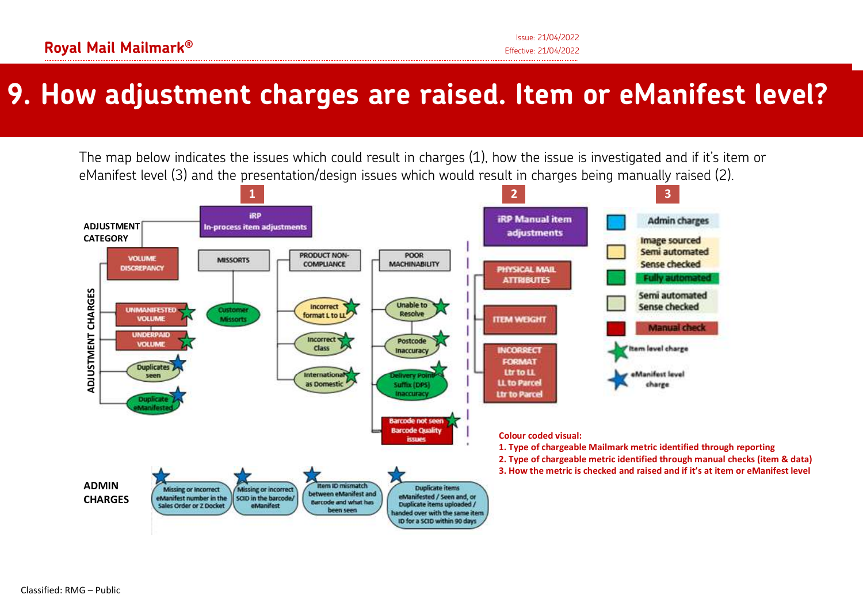### **9. How adjustment charges are raised. Item or eManifest level?**

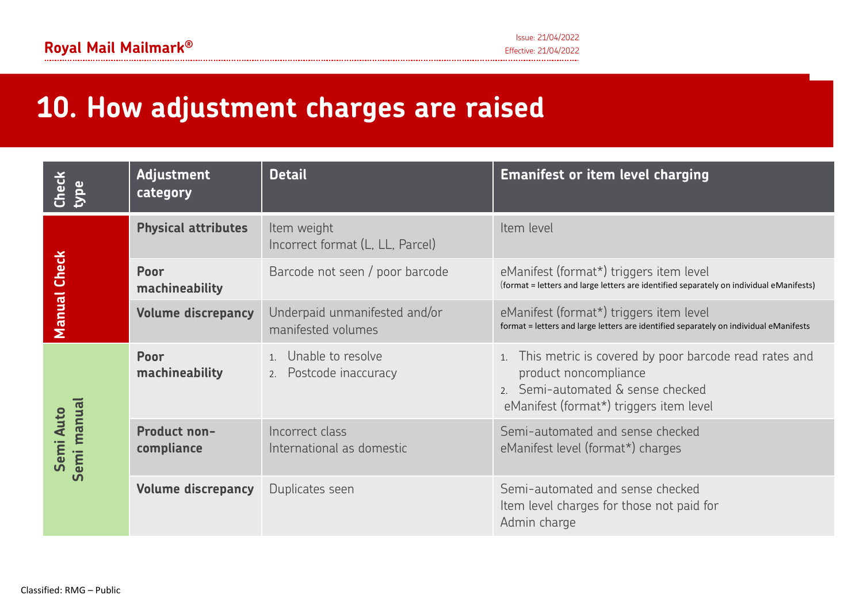### **10. How adjustment charges are raised**

| $Check$<br><b>SdK</b>    | <b>Adjustment</b><br>category | <b>Detail</b>                                       | <b>Emanifest or item level charging</b>                                                                                                                        |
|--------------------------|-------------------------------|-----------------------------------------------------|----------------------------------------------------------------------------------------------------------------------------------------------------------------|
|                          | <b>Physical attributes</b>    | Item weight<br>Incorrect format (L, LL, Parcel)     | Item level                                                                                                                                                     |
| <b>Check</b>             | Poor<br>machineability        | Barcode not seen / poor barcode                     | eManifest (format*) triggers item level<br>(format = letters and large letters are identified separately on individual eManifests)                             |
| <b>Manual</b>            | <b>Volume discrepancy</b>     | Underpaid unmanifested and/or<br>manifested volumes | eManifest (format*) triggers item level<br>format = letters and large letters are identified separately on individual eManifests                               |
|                          | Poor<br>machineability        | 1. Unable to resolve<br>2. Postcode inaccuracy      | This metric is covered by poor barcode read rates and<br>product noncompliance<br>2. Semi-automated & sense checked<br>eManifest (format*) triggers item level |
| Semi manual<br>Semi Auto | Product non-<br>compliance    | Incorrect class<br>International as domestic        | Semi-automated and sense checked<br>eManifest level (format*) charges                                                                                          |
|                          | <b>Volume discrepancy</b>     | Duplicates seen                                     | Semi-automated and sense checked<br>Item level charges for those not paid for<br>Admin charge                                                                  |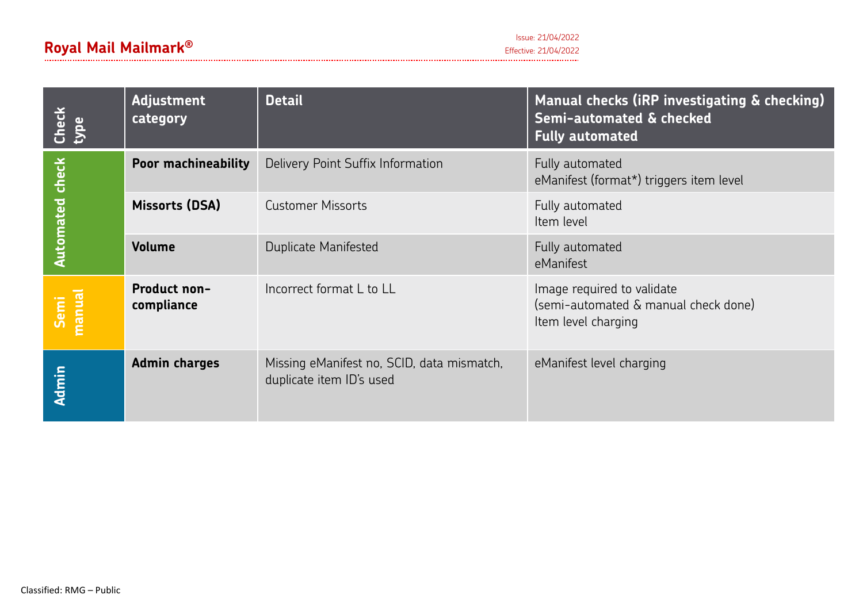### **Royal Mail Mailmark** Effective: 21/04/2022 **®**

| Check<br>type          | <b>Adjustment</b><br>category | <b>Detail</b>                                                          | Manual checks (iRP investigating & checking)<br>Semi-automated & checked<br><b>Fully automated</b> |
|------------------------|-------------------------------|------------------------------------------------------------------------|----------------------------------------------------------------------------------------------------|
|                        | <b>Poor machineability</b>    | Delivery Point Suffix Information                                      | Fully automated<br>eManifest (format*) triggers item level                                         |
| <b>Automated check</b> | Missorts (DSA)                | <b>Customer Missorts</b>                                               | Fully automated<br>Item level                                                                      |
|                        | <b>Volume</b>                 | Duplicate Manifested                                                   | Fully automated<br>eManifest                                                                       |
| Semi<br>manual         | Product non-<br>compliance    | Incorrect format L to LL                                               | Image required to validate<br>(semi-automated & manual check done)<br>Item level charging          |
| <b>Admin</b>           | <b>Admin charges</b>          | Missing eManifest no, SCID, data mismatch,<br>duplicate item ID's used | eManifest level charging                                                                           |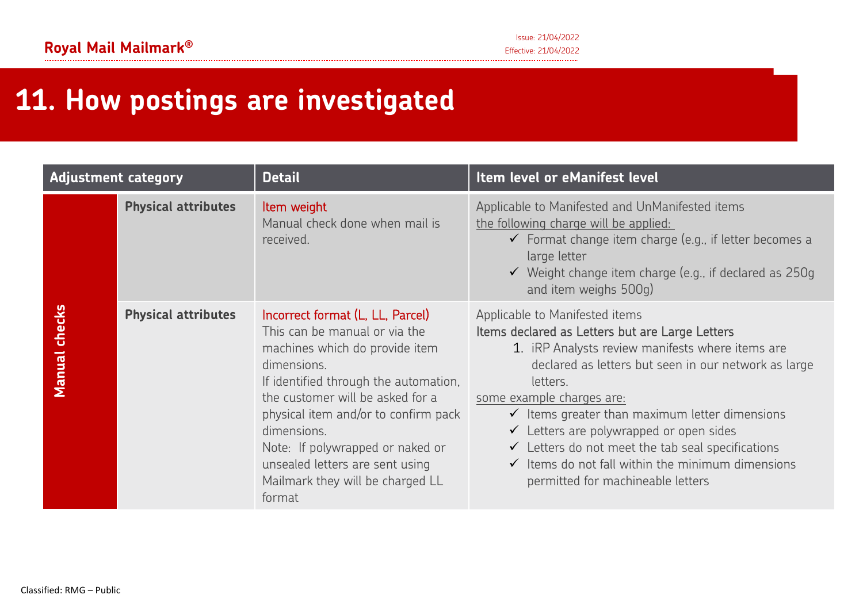# **11. How postings are investigated**

| <b>Adjustment category</b> |                            | <b>Detail</b>                                                                                                                                                                                                                                                                                                                                                               | Item level or eManifest level                                                                                                                                                                                                                                                                                                                                                                                                                                                                                                  |
|----------------------------|----------------------------|-----------------------------------------------------------------------------------------------------------------------------------------------------------------------------------------------------------------------------------------------------------------------------------------------------------------------------------------------------------------------------|--------------------------------------------------------------------------------------------------------------------------------------------------------------------------------------------------------------------------------------------------------------------------------------------------------------------------------------------------------------------------------------------------------------------------------------------------------------------------------------------------------------------------------|
|                            | <b>Physical attributes</b> | Item weight<br>Manual check done when mail is<br>received.                                                                                                                                                                                                                                                                                                                  | Applicable to Manifested and UnManifested items<br>the following charge will be applied:<br>$\checkmark$ Format change item charge (e.g., if letter becomes a<br>large letter<br>$\checkmark$ Weight change item charge (e.g., if declared as 250g<br>and item weighs 500g)                                                                                                                                                                                                                                                    |
| checks<br><b>Manual</b>    | <b>Physical attributes</b> | Incorrect format (L, LL, Parcel)<br>This can be manual or via the<br>machines which do provide item<br>dimensions.<br>If identified through the automation,<br>the customer will be asked for a<br>physical item and/or to confirm pack<br>dimensions.<br>Note: If polywrapped or naked or<br>unsealed letters are sent using<br>Mailmark they will be charged LL<br>format | Applicable to Manifested items<br>Items declared as Letters but are Large Letters<br>1. IRP Analysts review manifests where items are<br>declared as letters but seen in our network as large<br>letters.<br>some example charges are:<br>$\checkmark$ Items greater than maximum letter dimensions<br>$\checkmark$ Letters are polywrapped or open sides<br>$\checkmark$ Letters do not meet the tab seal specifications<br>$\checkmark$ Items do not fall within the minimum dimensions<br>permitted for machineable letters |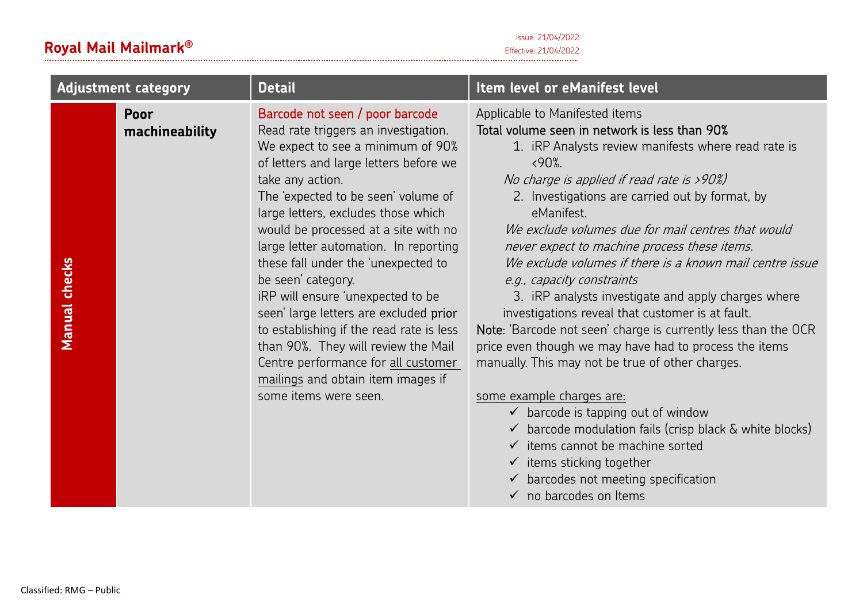### **Royal Mail Mailmark**Effective: 21/04/2022 **®**

| <b>Adjustment category</b>                        | <b>Detail</b>                                                                                                                                                                                                                                                                                                                                                                                                                                                                                                                                                                                                                                                                  | Item level or eManifest level                                                                                                                                                                                                                                                                                                                                                                                                                                                                                                                                                                                                                                                                                                                                                                                                                                                                                                                                                                                                                                                                        |
|---------------------------------------------------|--------------------------------------------------------------------------------------------------------------------------------------------------------------------------------------------------------------------------------------------------------------------------------------------------------------------------------------------------------------------------------------------------------------------------------------------------------------------------------------------------------------------------------------------------------------------------------------------------------------------------------------------------------------------------------|------------------------------------------------------------------------------------------------------------------------------------------------------------------------------------------------------------------------------------------------------------------------------------------------------------------------------------------------------------------------------------------------------------------------------------------------------------------------------------------------------------------------------------------------------------------------------------------------------------------------------------------------------------------------------------------------------------------------------------------------------------------------------------------------------------------------------------------------------------------------------------------------------------------------------------------------------------------------------------------------------------------------------------------------------------------------------------------------------|
| Poor<br>machineability<br>checks<br><b>Manual</b> | Barcode not seen / poor barcode<br>Read rate triggers an investigation.<br>We expect to see a minimum of 90%<br>of letters and large letters before we<br>take any action.<br>The 'expected to be seen' volume of<br>large letters, excludes those which<br>would be processed at a site with no<br>large letter automation. In reporting<br>these fall under the 'unexpected to<br>be seen' category.<br>iRP will ensure 'unexpected to be<br>seen' large letters are excluded prior<br>to establishing if the read rate is less<br>than 90%. They will review the Mail<br>Centre performance for all customer<br>mailings and obtain item images if<br>some items were seen. | Applicable to Manifested items<br>Total volume seen in network is less than 90%<br>1. iRP Analysts review manifests where read rate is<br>$&590\%$ .<br>No charge is applied if read rate is >90%)<br>2. Investigations are carried out by format, by<br>eManifest.<br>We exclude volumes due for mail centres that would<br>never expect to machine process these items.<br>We exclude volumes if there is a known mail centre issue<br>e.g., capacity constraints<br>3. iRP analysts investigate and apply charges where<br>investigations reveal that customer is at fault.<br>Note: 'Barcode not seen' charge is currently less than the OCR<br>price even though we may have had to process the items<br>manually. This may not be true of other charges.<br>some example charges are:<br>$\checkmark$ barcode is tapping out of window<br>$\checkmark$ barcode modulation fails (crisp black $\&$ white blocks)<br>$\checkmark$ items cannot be machine sorted<br>$\checkmark$ items sticking together<br>$\checkmark$ barcodes not meeting specification<br>$\checkmark$ no barcodes on Items |

Issue: 21/04/2022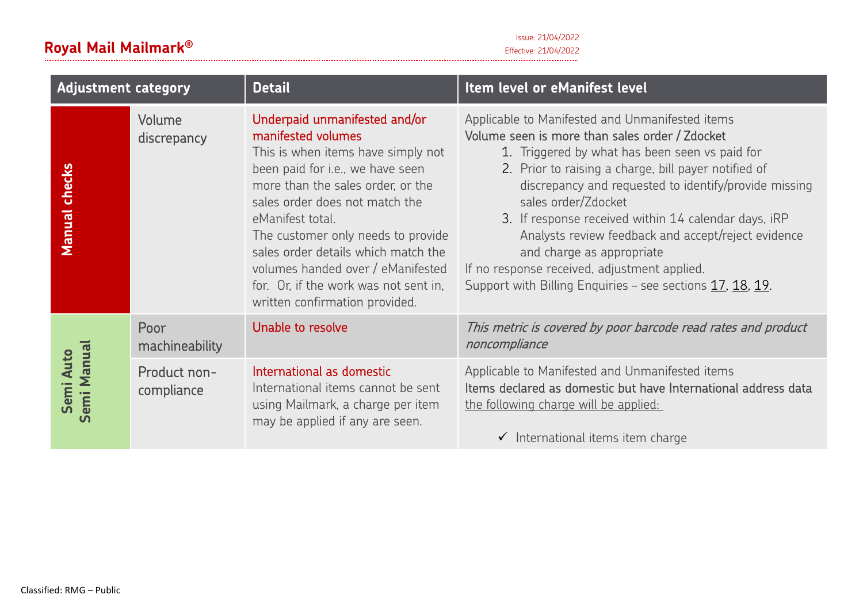Issue: 21/04/2022 Effective: 21/04/2022 **®**

| <b>Adjustment category</b>          |                            | <b>Detail</b>                                                                                                                                                                                                                                                                                                                                                                                                         | Item level or eManifest level                                                                                                                                                                                                                                                                                                                                                                                                                                                                                                                        |
|-------------------------------------|----------------------------|-----------------------------------------------------------------------------------------------------------------------------------------------------------------------------------------------------------------------------------------------------------------------------------------------------------------------------------------------------------------------------------------------------------------------|------------------------------------------------------------------------------------------------------------------------------------------------------------------------------------------------------------------------------------------------------------------------------------------------------------------------------------------------------------------------------------------------------------------------------------------------------------------------------------------------------------------------------------------------------|
| checks<br><b>Manual</b>             | Volume<br>discrepancy      | Underpaid unmanifested and/or<br>manifested volumes<br>This is when items have simply not<br>been paid for i.e., we have seen<br>more than the sales order, or the<br>sales order does not match the<br>eManifest total.<br>The customer only needs to provide<br>sales order details which match the<br>volumes handed over / eManifested<br>for. Or, if the work was not sent in,<br>written confirmation provided. | Applicable to Manifested and Unmanifested items<br>Volume seen is more than sales order / Zdocket<br>1. Triggered by what has been seen vs paid for<br>2. Prior to raising a charge, bill payer notified of<br>discrepancy and requested to identify/provide missing<br>sales order/Zdocket<br>3. If response received within 14 calendar days, iRP<br>Analysts review feedback and accept/reject evidence<br>and charge as appropriate<br>If no response received, adjustment applied.<br>Support with Billing Enquiries - see sections 17, 18, 19. |
|                                     | Poor<br>machineability     | Unable to resolve                                                                                                                                                                                                                                                                                                                                                                                                     | This metric is covered by poor barcode read rates and product<br>noncompliance                                                                                                                                                                                                                                                                                                                                                                                                                                                                       |
| emi Manual<br>Semi Auto<br><u>ທ</u> | Product non-<br>compliance | International as domestic<br>International items cannot be sent<br>using Mailmark, a charge per item<br>may be applied if any are seen.                                                                                                                                                                                                                                                                               | Applicable to Manifested and Unmanifested items<br>Items declared as domestic but have International address data<br>the following charge will be applied:<br>$\checkmark$ International items item charge                                                                                                                                                                                                                                                                                                                                           |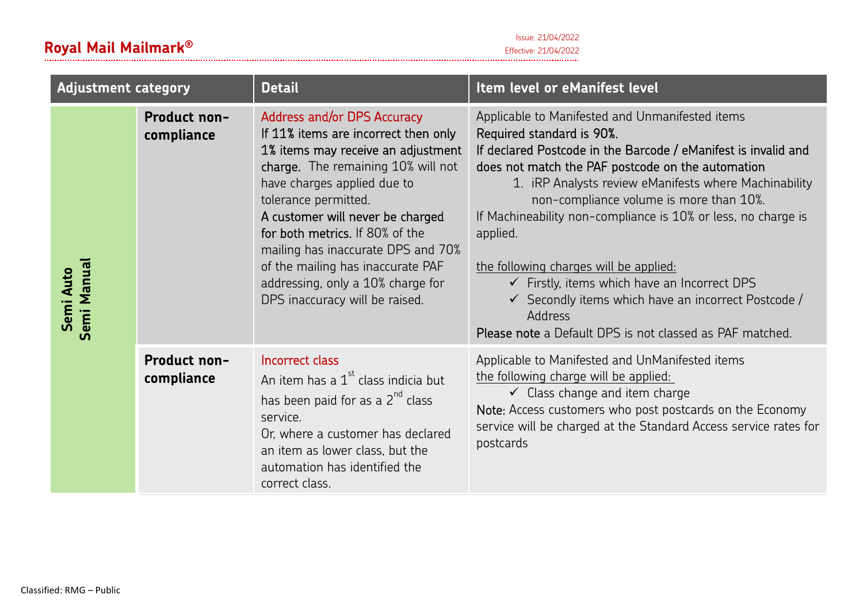| <b>Adjustment category</b> |                            | <b>Detail</b>                                                                                                                                                                                                                                                                                                                                                                                                                          | Item level or eManifest level                                                                                                                                                                                                                                                                                                                                                                                                                                                                                                                                                                                                                    |
|----------------------------|----------------------------|----------------------------------------------------------------------------------------------------------------------------------------------------------------------------------------------------------------------------------------------------------------------------------------------------------------------------------------------------------------------------------------------------------------------------------------|--------------------------------------------------------------------------------------------------------------------------------------------------------------------------------------------------------------------------------------------------------------------------------------------------------------------------------------------------------------------------------------------------------------------------------------------------------------------------------------------------------------------------------------------------------------------------------------------------------------------------------------------------|
| Semi Manual<br>Semi Auto   | Product non-<br>compliance | <b>Address and/or DPS Accuracy</b><br>If 11% items are incorrect then only<br>1% items may receive an adjustment<br>charge. The remaining 10% will not<br>have charges applied due to<br>tolerance permitted.<br>A customer will never be charged<br>for both metrics. If 80% of the<br>mailing has inaccurate DPS and 70%<br>of the mailing has inaccurate PAF<br>addressing, only a 10% charge for<br>DPS inaccuracy will be raised. | Applicable to Manifested and Unmanifested items<br>Required standard is 90%.<br>If declared Postcode in the Barcode / eManifest is invalid and<br>does not match the PAF postcode on the automation<br>1. IRP Analysts review eManifests where Machinability<br>non-compliance volume is more than 10%.<br>If Machineability non-compliance is 10% or less, no charge is<br>applied.<br>the following charges will be applied:<br>$\checkmark$ Firstly, items which have an Incorrect DPS<br>$\checkmark$ Secondly items which have an incorrect Postcode /<br><b>Address</b><br><b>Please note</b> a Default DPS is not classed as PAF matched. |
|                            | Product non-<br>compliance | Incorrect class<br>An item has a 1 <sup>st</sup> class indicia but<br>has been paid for as a 2 <sup>nd</sup> class<br>service.<br>Or, where a customer has declared<br>an item as lower class, but the<br>automation has identified the<br>correct class.                                                                                                                                                                              | Applicable to Manifested and UnManifested items<br>the following charge will be applied:<br>$\checkmark$ Class change and item charge<br>Note: Access customers who post postcards on the Economy<br>service will be charged at the Standard Access service rates for<br>postcards                                                                                                                                                                                                                                                                                                                                                               |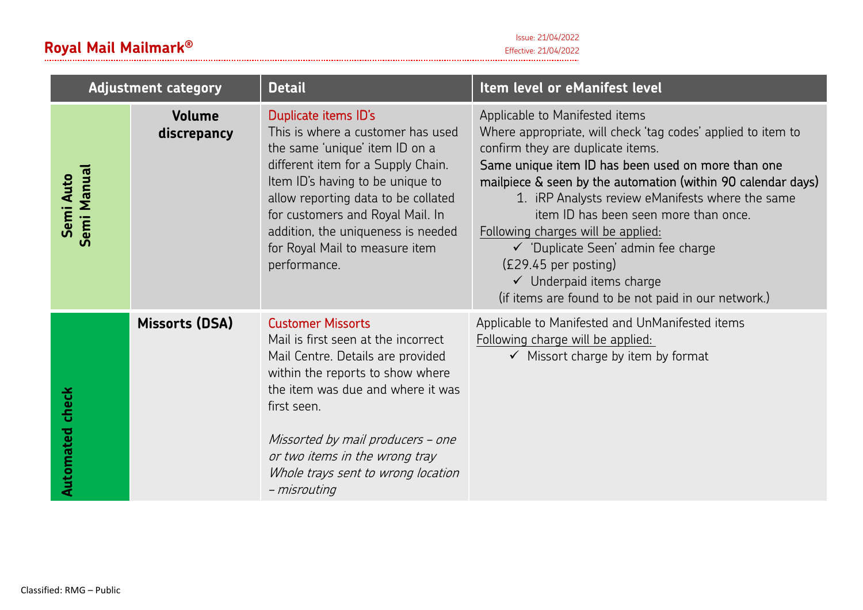Issue: 21/04/2022

### **Royal Mail Mailmark**Effective: 21/04/2022 **®**

| <b>Adjustment category</b>                               |                | <b>Detail</b>                                                                                                                                                                                                                                                                                                                            | Item level or eManifest level                                                                                                                                                                                                                                                                                                                                                                                                                                                                                                                               |
|----------------------------------------------------------|----------------|------------------------------------------------------------------------------------------------------------------------------------------------------------------------------------------------------------------------------------------------------------------------------------------------------------------------------------------|-------------------------------------------------------------------------------------------------------------------------------------------------------------------------------------------------------------------------------------------------------------------------------------------------------------------------------------------------------------------------------------------------------------------------------------------------------------------------------------------------------------------------------------------------------------|
| <b>Volume</b><br>discrepancy<br>Semi Manual<br>Semi Auto |                | Duplicate items ID's<br>This is where a customer has used<br>the same 'unique' item ID on a<br>different item for a Supply Chain.<br>Item ID's having to be unique to<br>allow reporting data to be collated<br>for customers and Royal Mail. In<br>addition, the uniqueness is needed<br>for Royal Mail to measure item<br>performance. | Applicable to Manifested items<br>Where appropriate, will check 'tag codes' applied to item to<br>confirm they are duplicate items.<br>Same unique item ID has been used on more than one<br>mailpiece & seen by the automation (within 90 calendar days)<br>1. iRP Analysts review eManifests where the same<br>item ID has been seen more than once.<br>Following charges will be applied:<br>← 'Duplicate Seen' admin fee charge<br>$(E29.45$ per posting)<br>$\checkmark$ Underpaid items charge<br>(if items are found to be not paid in our network.) |
| <b>Automated check</b>                                   | Missorts (DSA) | <b>Customer Missorts</b><br>Mail is first seen at the incorrect<br>Mail Centre. Details are provided<br>within the reports to show where<br>the item was due and where it was<br>first seen.<br>Missorted by mail producers - one<br>or two items in the wrong tray<br>Whole trays sent to wrong location<br>- misrouting                | Applicable to Manifested and UnManifested items<br>Following charge will be applied:<br>$\checkmark$ Missort charge by item by format                                                                                                                                                                                                                                                                                                                                                                                                                       |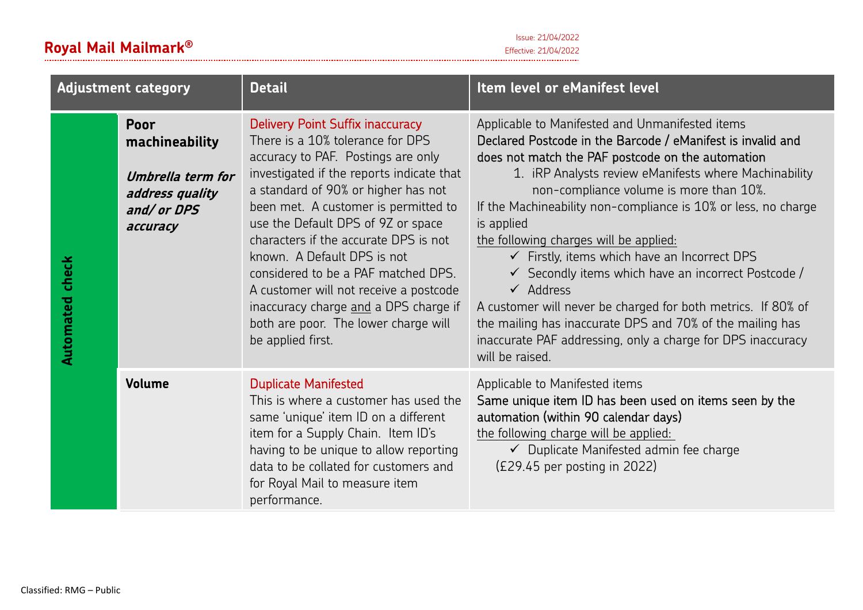| <b>Adjustment category</b> |                                                                                           | <b>Detail</b>                                                                                                                                                                                                                                                                                                                                                                                                                                                                                                                                      | Item level or eManifest level                                                                                                                                                                                                                                                                                                                                                                                                                                                                                                                                                                                                                                                                                                                                         |
|----------------------------|-------------------------------------------------------------------------------------------|----------------------------------------------------------------------------------------------------------------------------------------------------------------------------------------------------------------------------------------------------------------------------------------------------------------------------------------------------------------------------------------------------------------------------------------------------------------------------------------------------------------------------------------------------|-----------------------------------------------------------------------------------------------------------------------------------------------------------------------------------------------------------------------------------------------------------------------------------------------------------------------------------------------------------------------------------------------------------------------------------------------------------------------------------------------------------------------------------------------------------------------------------------------------------------------------------------------------------------------------------------------------------------------------------------------------------------------|
| <b>Automated check</b>     | Poor<br>machineability<br>Umbrella term for<br>address quality<br>and/ or DPS<br>accuracy | <b>Delivery Point Suffix inaccuracy</b><br>There is a 10% tolerance for DPS<br>accuracy to PAF. Postings are only<br>investigated if the reports indicate that<br>a standard of 90% or higher has not<br>been met. A customer is permitted to<br>use the Default DPS of 9Z or space<br>characters if the accurate DPS is not<br>known. A Default DPS is not<br>considered to be a PAF matched DPS.<br>A customer will not receive a postcode<br>inaccuracy charge and a DPS charge if<br>both are poor. The lower charge will<br>be applied first. | Applicable to Manifested and Unmanifested items<br>Declared Postcode in the Barcode / eManifest is invalid and<br>does not match the PAF postcode on the automation<br>1. iRP Analysts review eManifests where Machinability<br>non-compliance volume is more than 10%.<br>If the Machineability non-compliance is 10% or less, no charge<br>is applied<br>the following charges will be applied:<br>$\checkmark$ Firstly, items which have an Incorrect DPS<br>$\checkmark$ Secondly items which have an incorrect Postcode /<br>$\checkmark$ Address<br>A customer will never be charged for both metrics. If 80% of<br>the mailing has inaccurate DPS and 70% of the mailing has<br>inaccurate PAF addressing, only a charge for DPS inaccuracy<br>will be raised. |
|                            | Volume                                                                                    | <b>Duplicate Manifested</b><br>This is where a customer has used the<br>same 'unique' item ID on a different<br>item for a Supply Chain. Item ID's<br>having to be unique to allow reporting<br>data to be collated for customers and<br>for Royal Mail to measure item<br>performance.                                                                                                                                                                                                                                                            | Applicable to Manifested items<br>Same unique item ID has been used on items seen by the<br>automation (within 90 calendar days)<br>the following charge will be applied:<br>← Duplicate Manifested admin fee charge<br>$(E29.45$ per posting in 2022)                                                                                                                                                                                                                                                                                                                                                                                                                                                                                                                |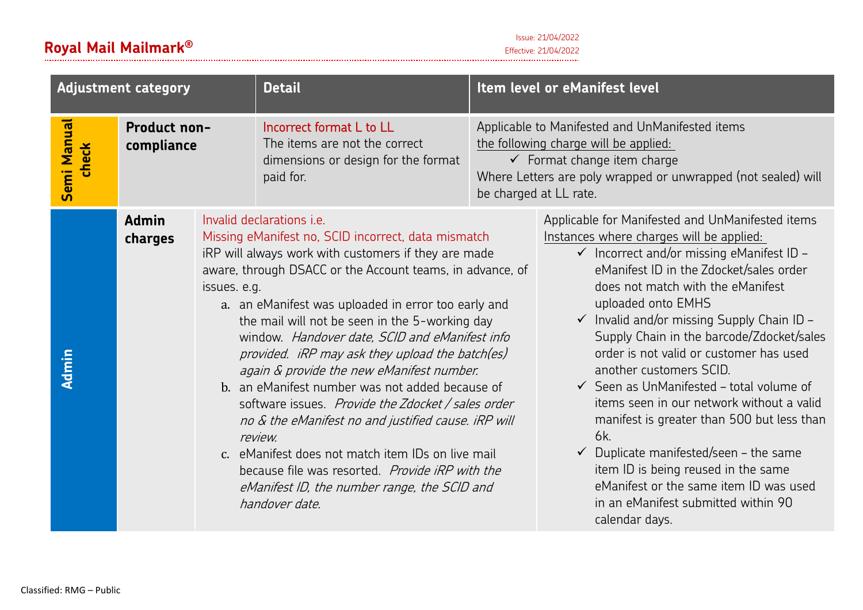| <b>Adjustment category</b>  |                            |              | <b>Detail</b>                                                                                                                                                                                                                                                                                                                                                                                                                                                                                                                                                                                                                                                                                                                                                                                                                | Item level or eManifest level                                                                                                                                                                                                 |                                                                                                                                                                                                                                                                                                                                                                                                                                                                                                                                                                                                                                                                                                                                                                                                |
|-----------------------------|----------------------------|--------------|------------------------------------------------------------------------------------------------------------------------------------------------------------------------------------------------------------------------------------------------------------------------------------------------------------------------------------------------------------------------------------------------------------------------------------------------------------------------------------------------------------------------------------------------------------------------------------------------------------------------------------------------------------------------------------------------------------------------------------------------------------------------------------------------------------------------------|-------------------------------------------------------------------------------------------------------------------------------------------------------------------------------------------------------------------------------|------------------------------------------------------------------------------------------------------------------------------------------------------------------------------------------------------------------------------------------------------------------------------------------------------------------------------------------------------------------------------------------------------------------------------------------------------------------------------------------------------------------------------------------------------------------------------------------------------------------------------------------------------------------------------------------------------------------------------------------------------------------------------------------------|
| <b>Semi Manual</b><br>check | Product non-<br>compliance |              | Incorrect format L to LL<br>The items are not the correct<br>dimensions or design for the format<br>paid for.                                                                                                                                                                                                                                                                                                                                                                                                                                                                                                                                                                                                                                                                                                                | Applicable to Manifested and UnManifested items<br>the following charge will be applied:<br>$\checkmark$ Format change item charge<br>Where Letters are poly wrapped or unwrapped (not sealed) will<br>be charged at LL rate. |                                                                                                                                                                                                                                                                                                                                                                                                                                                                                                                                                                                                                                                                                                                                                                                                |
| <b>Admin</b>                | <b>Admin</b><br>charges    | issues. e.g. | Invalid declarations <i>i.e.</i><br>Missing eManifest no, SCID incorrect, data mismatch<br>iRP will always work with customers if they are made<br>aware, through DSACC or the Account teams, in advance, of<br>a. an eManifest was uploaded in error too early and<br>the mail will not be seen in the 5-working day<br>window. Handover date, SCID and eManifest info<br>provided. iRP may ask they upload the batch(es)<br>again & provide the new eManifest number.<br>b. an eManifest number was not added because of<br>software issues. Provide the Zdocket / sales order<br>no & the eManifest no and justified cause. iRP will<br>review.<br>c. eManifest does not match item IDs on live mail<br>because file was resorted. Provide iRP with the<br>eManifest ID, the number range, the SCID and<br>handover date. |                                                                                                                                                                                                                               | Applicable for Manifested and UnManifested items<br>Instances where charges will be applied:<br>$\checkmark$ Incorrect and/or missing eManifest ID -<br>eManifest ID in the Zdocket/sales order<br>does not match with the eManifest<br>uploaded onto EMHS<br>$\checkmark$ Invalid and/or missing Supply Chain ID -<br>Supply Chain in the barcode/Zdocket/sales<br>order is not valid or customer has used<br>another customers SCID.<br>$\checkmark$ Seen as UnManifested - total volume of<br>items seen in our network without a valid<br>manifest is greater than 500 but less than<br>6k.<br>$\checkmark$ Duplicate manifested/seen – the same<br>item ID is being reused in the same<br>eManifest or the same item ID was used<br>in an eManifest submitted within 90<br>calendar days. |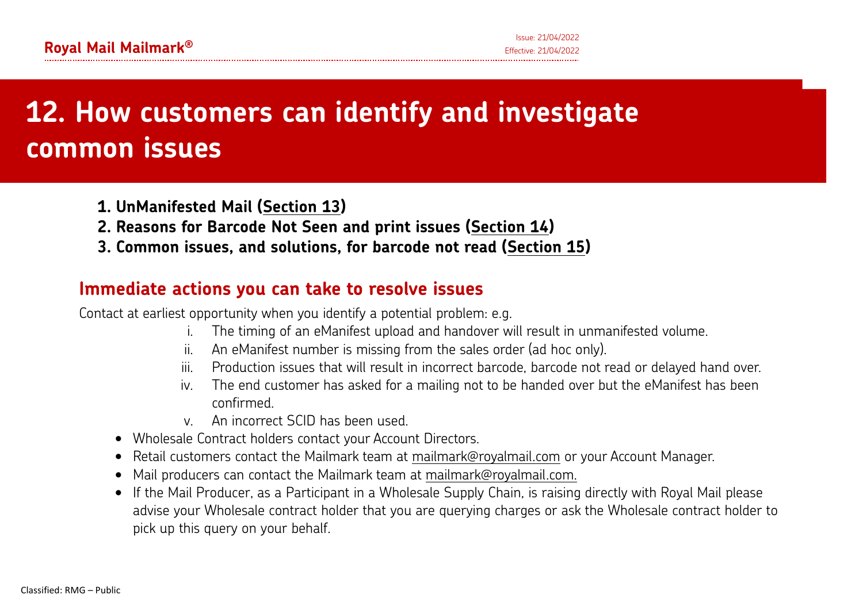### Common issues, and solutions, for barcode not read **12. How customers can identify and investigate common issues**

- **1. UnManifested Mail (Section 13)**
- **2. Reasons for Barcode Not Seen and print issues (Section 14)**
- **3. Common issues, and solutions, for barcode not read (Section 15)**

### **Immediate actions you can take to resolve issues**

Contact at earliest opportunity when you identify a potential problem: e.g.

- i.The timing of an eManifest upload and handover will result in unmanifested volume.
- ii.An eManifest number is missing from the sales order (ad hoc only).
- iii.Production issues that will result in incorrect barcode, barcode not read or delayed hand over.
- iv. The end customer has asked for a mailing not to be handed over but the eManifest has been confirmed.
- v. An incorrect SCID has been used.
- Wholesale Contract holders contact your Account Directors.
- Retail customers contact the Mailmark team at mailmark@royalmail.com or your Account Manager.
- •Mail producers can contact the Mailmark team at mailmark@royalmail.com.
- If the Mail Producer, as a Participant in a Wholesale Supply Chain, is raising directly with Royal Mail please advise your Wholesale contract holder that you are querying charges or ask the Wholesale contract holder to pick up this query on your behalf.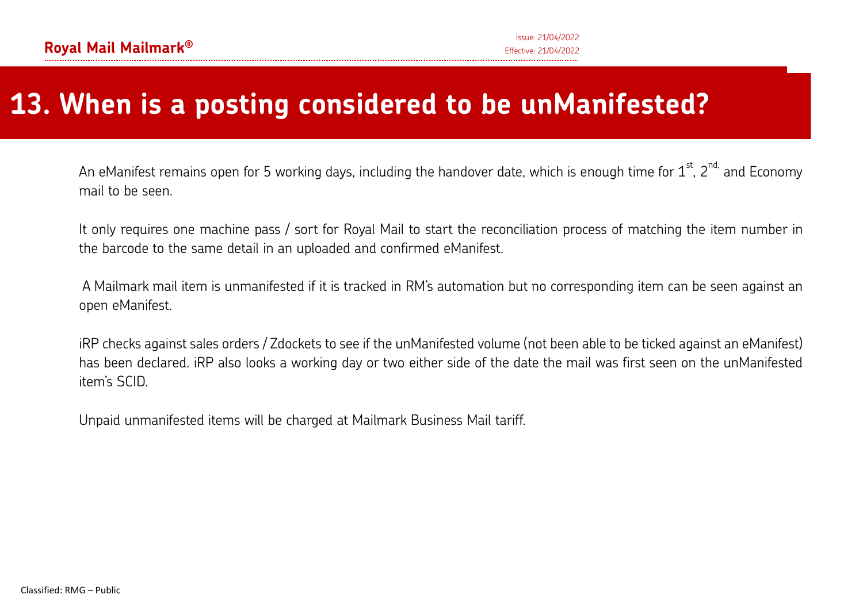# **13. When is a posting considered to be unManifested?**

An eManifest remains open for 5 working days, including the handover date, which is enough time for  $1^{\text{st}}$ ,  $2^{\text{nd}}$  and Economy mail to be seen.

It only requires one machine pass / sort for Royal Mail to start the reconciliation process of matching the item number in the barcode to the same detail in an uploaded and confirmed eManifest.

 A Mailmark mail item is unmanifested if it is tracked in RM's automation but no corresponding item can be seen against an open eManifest.

iRP checks against sales orders / Zdockets to see if the unManifested volume (not been able to be ticked against an eManifest) has been declared. iRP also looks a working day or two either side of the date the mail was first seen on the unManifested item's SCID.

Unpaid unmanifested items will be charged at Mailmark Business Mail tariff.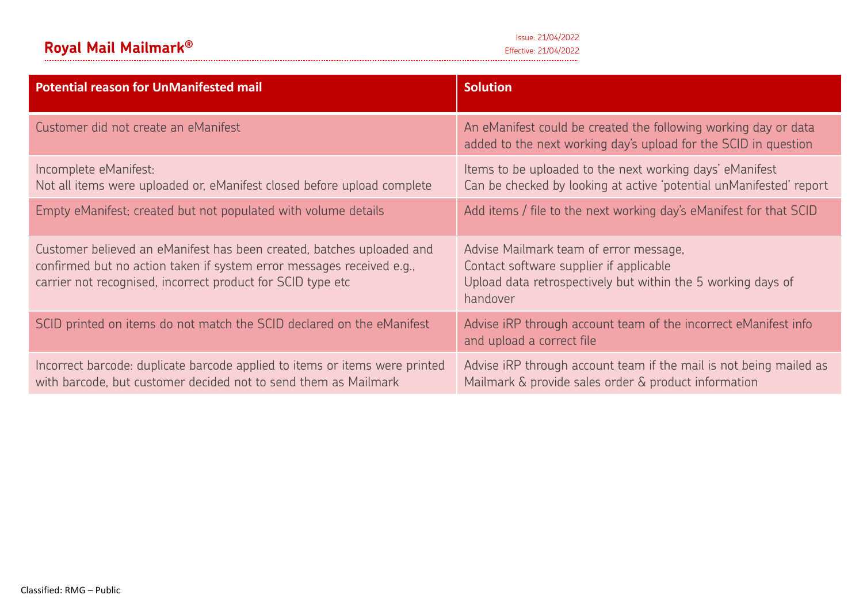| <b>Potential reason for UnManifested mail</b>                                                                                                                                                                 | <b>Solution</b>                                                                                                                                               |
|---------------------------------------------------------------------------------------------------------------------------------------------------------------------------------------------------------------|---------------------------------------------------------------------------------------------------------------------------------------------------------------|
| Customer did not create an eManifest                                                                                                                                                                          | An eManifest could be created the following working day or data<br>added to the next working day's upload for the SCID in question                            |
| Incomplete eManifest:<br>Not all items were uploaded or, eManifest closed before upload complete                                                                                                              | Items to be uploaded to the next working days' eManifest<br>Can be checked by looking at active 'potential unManifested' report                               |
| Empty eManifest; created but not populated with volume details                                                                                                                                                | Add items / file to the next working day's eManifest for that SCID                                                                                            |
| Customer believed an eManifest has been created, batches uploaded and<br>confirmed but no action taken if system error messages received e.g.,<br>carrier not recognised, incorrect product for SCID type etc | Advise Mailmark team of error message,<br>Contact software supplier if applicable<br>Upload data retrospectively but within the 5 working days of<br>handover |
| SCID printed on items do not match the SCID declared on the eManifest                                                                                                                                         | Advise iRP through account team of the incorrect eManifest info<br>and upload a correct file                                                                  |
| Incorrect barcode: duplicate barcode applied to items or items were printed<br>with barcode, but customer decided not to send them as Mailmark                                                                | Advise iRP through account team if the mail is not being mailed as<br>Mailmark & provide sales order & product information                                    |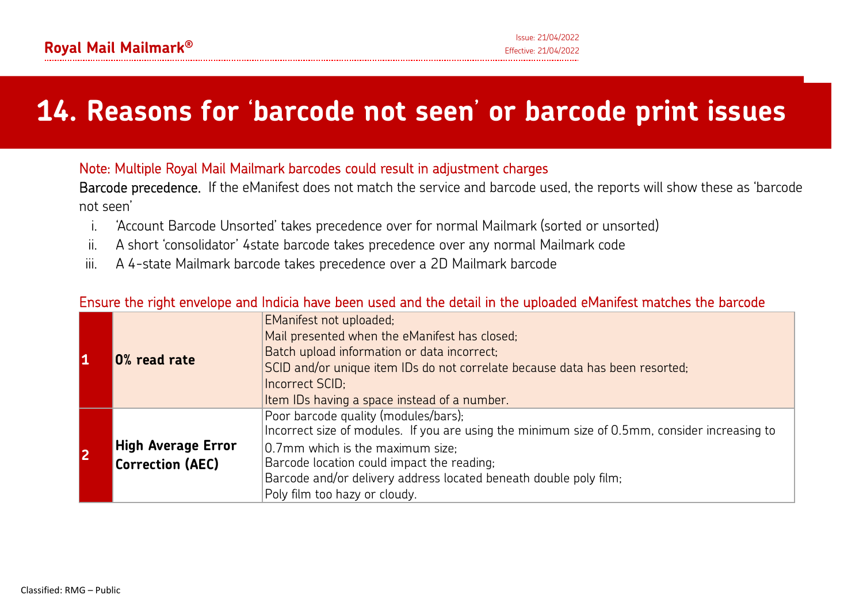# **14. Reasons for** '**barcode not seen**' **or barcode print issues**

### Note: Multiple Royal Mail Mailmark barcodes could result in adjustment charges

Barcode precedence. If the eManifest does not match the service and barcode used, the reports will show these as 'barcode not seen'

- i.'Account Barcode Unsorted' takes precedence over for normal Mailmark (sorted or unsorted)
- ii.A short 'consolidator' 4state barcode takes precedence over any normal Mailmark code
- iii.

# iii. A 4-state Mailmark barcode takes precedence over a 2D Mailmark barcode<br>Ensure the right envelope and Indicia have been used and the detail in the uploaded eManifest matches the barcode

|   |                           | <b>EManifest not uploaded;</b>                                                                |
|---|---------------------------|-----------------------------------------------------------------------------------------------|
|   | 0% read rate              | Mail presented when the eManifest has closed;                                                 |
|   |                           | Batch upload information or data incorrect;                                                   |
|   |                           | SCID and/or unique item IDs do not correlate because data has been resorted;                  |
|   |                           | Incorrect SCID;                                                                               |
|   |                           | Item IDs having a space instead of a number.                                                  |
|   |                           | Poor barcode quality (modules/bars);                                                          |
|   |                           | Incorrect size of modules. If you are using the minimum size of 0.5mm, consider increasing to |
| 2 | <b>High Average Error</b> | 0.7mm which is the maximum size;                                                              |
|   | Correction (AEC)          | Barcode location could impact the reading;                                                    |
|   |                           | Barcode and/or delivery address located beneath double poly film;                             |
|   |                           | Poly film too hazy or cloudy.                                                                 |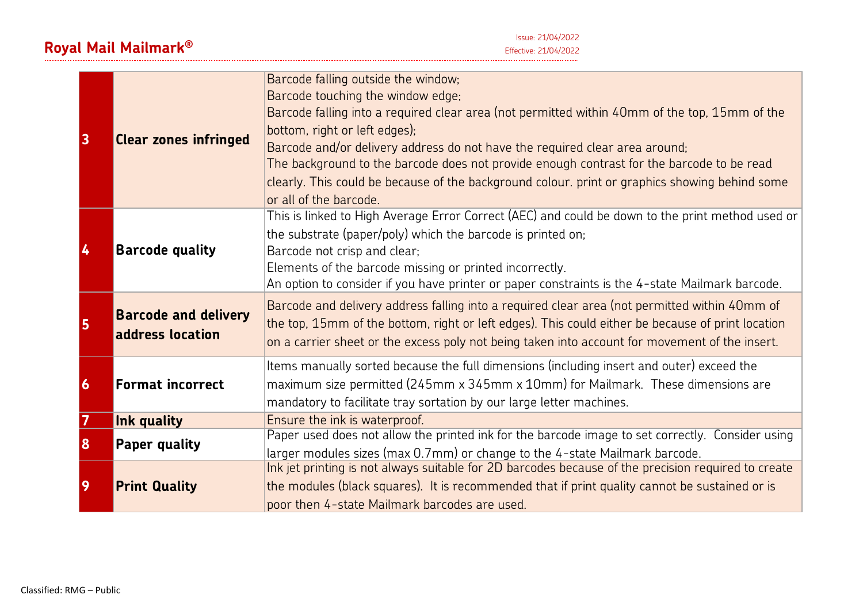| 3<br><b>Clear zones infringed</b> |                                                                                                                                                                                                                                                                                                                                                                                         | Barcode falling outside the window;<br>Barcode touching the window edge;<br>Barcode falling into a required clear area (not permitted within 40mm of the top, 15mm of the<br>bottom, right or left edges);<br>Barcode and/or delivery address do not have the required clear area around;<br>The background to the barcode does not provide enough contrast for the barcode to be read<br>clearly. This could be because of the background colour, print or graphics showing behind some<br>or all of the barcode. |
|-----------------------------------|-----------------------------------------------------------------------------------------------------------------------------------------------------------------------------------------------------------------------------------------------------------------------------------------------------------------------------------------------------------------------------------------|--------------------------------------------------------------------------------------------------------------------------------------------------------------------------------------------------------------------------------------------------------------------------------------------------------------------------------------------------------------------------------------------------------------------------------------------------------------------------------------------------------------------|
| 4                                 | This is linked to High Average Error Correct (AEC) and could be down to the print method used or<br>the substrate (paper/poly) which the barcode is printed on;<br><b>Barcode quality</b><br>Barcode not crisp and clear;<br>Elements of the barcode missing or printed incorrectly.<br>An option to consider if you have printer or paper constraints is the 4-state Mailmark barcode. |                                                                                                                                                                                                                                                                                                                                                                                                                                                                                                                    |
| 5                                 | <b>Barcode and delivery</b><br>address location                                                                                                                                                                                                                                                                                                                                         | Barcode and delivery address falling into a required clear area (not permitted within 40mm of<br>the top, 15mm of the bottom, right or left edges). This could either be because of print location<br>on a carrier sheet or the excess poly not being taken into account for movement of the insert.                                                                                                                                                                                                               |
| 6                                 | <b>Format incorrect</b>                                                                                                                                                                                                                                                                                                                                                                 | Items manually sorted because the full dimensions (including insert and outer) exceed the<br>maximum size permitted (245mm x 345mm x 10mm) for Mailmark. These dimensions are<br>mandatory to facilitate tray sortation by our large letter machines.                                                                                                                                                                                                                                                              |
| 7                                 | Ink quality                                                                                                                                                                                                                                                                                                                                                                             | Ensure the ink is waterproof.                                                                                                                                                                                                                                                                                                                                                                                                                                                                                      |
| 8                                 | Paper quality                                                                                                                                                                                                                                                                                                                                                                           | Paper used does not allow the printed ink for the barcode image to set correctly. Consider using                                                                                                                                                                                                                                                                                                                                                                                                                   |
|                                   |                                                                                                                                                                                                                                                                                                                                                                                         | larger modules sizes (max 0.7mm) or change to the 4-state Mailmark barcode.                                                                                                                                                                                                                                                                                                                                                                                                                                        |
|                                   |                                                                                                                                                                                                                                                                                                                                                                                         | Ink jet printing is not always suitable for 2D barcodes because of the precision required to create                                                                                                                                                                                                                                                                                                                                                                                                                |
| 9                                 | <b>Print Quality</b>                                                                                                                                                                                                                                                                                                                                                                    | the modules (black squares). It is recommended that if print quality cannot be sustained or is                                                                                                                                                                                                                                                                                                                                                                                                                     |
|                                   |                                                                                                                                                                                                                                                                                                                                                                                         | poor then 4-state Mailmark barcodes are used.                                                                                                                                                                                                                                                                                                                                                                                                                                                                      |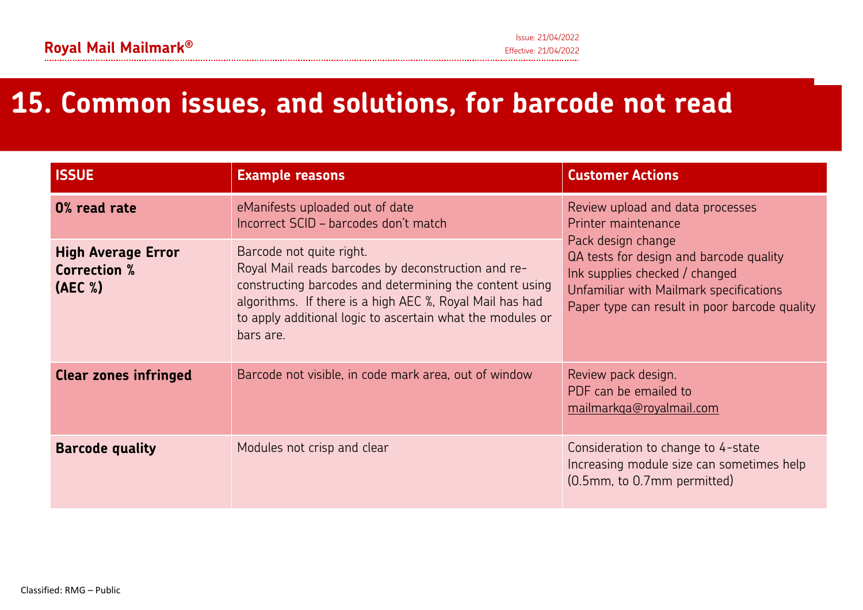# **15. Common issues, and solutions, for barcode not read**

| <b>ISSUE</b>                                                | <b>Example reasons</b>                                                                                                                                                                                                                                                            | <b>Customer Actions</b>                                                                                                                                                                     |  |
|-------------------------------------------------------------|-----------------------------------------------------------------------------------------------------------------------------------------------------------------------------------------------------------------------------------------------------------------------------------|---------------------------------------------------------------------------------------------------------------------------------------------------------------------------------------------|--|
| 0% read rate                                                | eManifests uploaded out of date<br>Incorrect SCID - barcodes don't match                                                                                                                                                                                                          | Review upload and data processes<br>Printer maintenance                                                                                                                                     |  |
| <b>High Average Error</b><br><b>Correction %</b><br>(AEC %) | Barcode not quite right.<br>Royal Mail reads barcodes by deconstruction and re-<br>constructing barcodes and determining the content using<br>algorithms. If there is a high AEC %, Royal Mail has had<br>to apply additional logic to ascertain what the modules or<br>bars are. | Pack design change<br>QA tests for design and barcode quality<br>Ink supplies checked / changed<br>Unfamiliar with Mailmark specifications<br>Paper type can result in poor barcode quality |  |
| <b>Clear zones infringed</b>                                | Barcode not visible, in code mark area, out of window                                                                                                                                                                                                                             | Review pack design.<br>PDF can be emailed to<br>mailmarkqa@royalmail.com                                                                                                                    |  |
| <b>Barcode quality</b>                                      | Modules not crisp and clear                                                                                                                                                                                                                                                       | Consideration to change to 4-state<br>Increasing module size can sometimes help<br>(0.5mm, to 0.7mm permitted)                                                                              |  |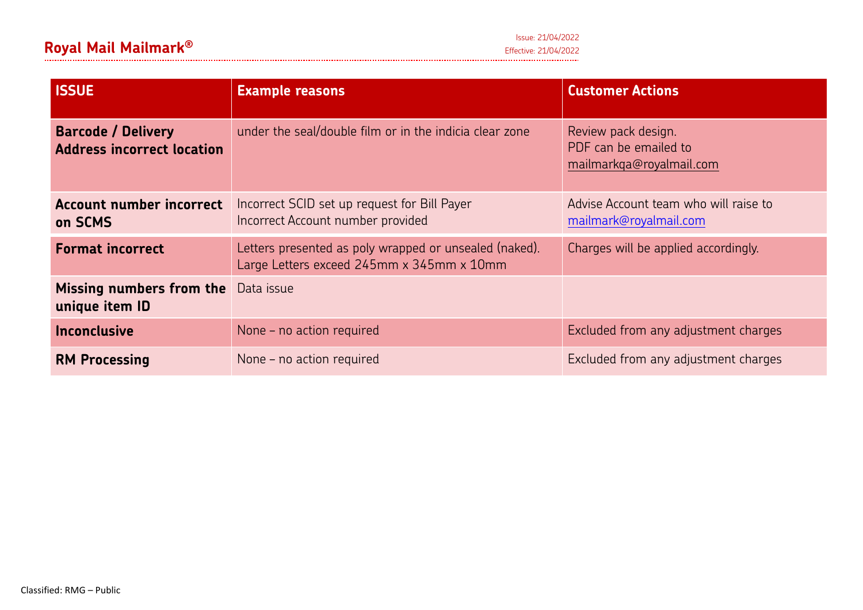| <b>ISSUE</b>                                                   | <b>Example reasons</b>                                                                              | <b>Customer Actions</b>                                                  |
|----------------------------------------------------------------|-----------------------------------------------------------------------------------------------------|--------------------------------------------------------------------------|
| <b>Barcode / Delivery</b><br><b>Address incorrect location</b> | under the seal/double film or in the indicia clear zone                                             | Review pack design.<br>PDF can be emailed to<br>mailmarkqa@royalmail.com |
| <b>Account number incorrect</b><br>on SCMS                     | Incorrect SCID set up request for Bill Payer<br>Incorrect Account number provided                   | Advise Account team who will raise to<br>mailmark@royalmail.com          |
| <b>Format incorrect</b>                                        | Letters presented as poly wrapped or unsealed (naked).<br>Large Letters exceed 245mm x 345mm x 10mm | Charges will be applied accordingly.                                     |
| Missing numbers from the<br>unique item ID                     | Data issue                                                                                          |                                                                          |
| <b>Inconclusive</b>                                            | None – no action required                                                                           | Excluded from any adjustment charges                                     |
| <b>RM Processing</b>                                           | None – no action required                                                                           | Excluded from any adjustment charges                                     |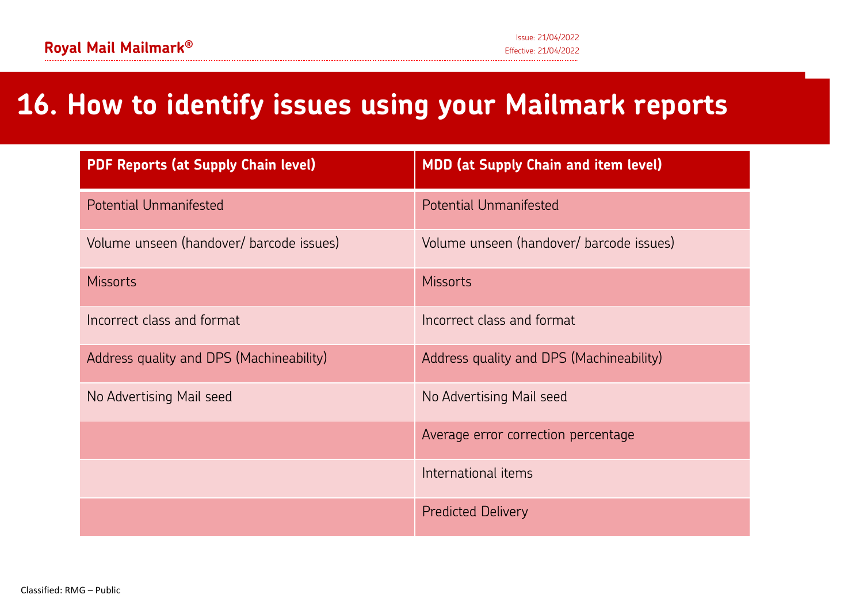### **16. How to identify issues using your Mailmark reports**

| <b>PDF Reports (at Supply Chain level)</b> | <b>MDD (at Supply Chain and item level)</b> |  |
|--------------------------------------------|---------------------------------------------|--|
| <b>Potential Unmanifested</b>              | <b>Potential Unmanifested</b>               |  |
| Volume unseen (handover/ barcode issues)   | Volume unseen (handover/ barcode issues)    |  |
| <b>Missorts</b>                            | <b>Missorts</b>                             |  |
| Incorrect class and format                 | Incorrect class and format                  |  |
| Address quality and DPS (Machineability)   | Address quality and DPS (Machineability)    |  |
| No Advertising Mail seed                   | No Advertising Mail seed                    |  |
|                                            | Average error correction percentage         |  |
|                                            | International items                         |  |
|                                            | <b>Predicted Delivery</b>                   |  |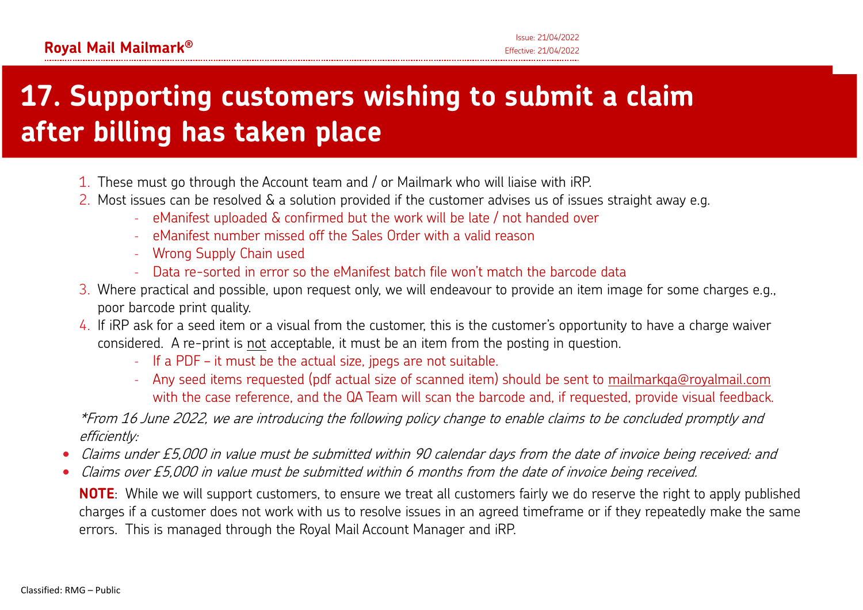# **17. Supporting customers wishing to submit a claim after billing has taken place**

- $\boldsymbol{1}.$  These must go through the Account team and / or Mailmark who will liaise with iRP.
- 2. Most issues can be resolved & a solution provided if the customer advises us of issues straight away e.g.
	- eManifest uploaded & confirmed but the work will be late / not handed over
	- eManifest number missed off the Sales Order with a valid reason
	- Wrong Supply Chain used
	- Data re-sorted in error so the eManifest batch file won't match the barcode data
- 3. Where practical and possible, upon request only, we will endeavour to provide an item image for some charges e.g., poor barcode print quality.
- 4. If iRP ask for a seed item or a visual from the customer, this is the customer's opportunity to have a charge waiver considered. A re-print is not acceptable, it must be an item from the posting in question.
	- -If a PDF – it must be the actual size, jpegs are not suitable.
	- - Any seed items requested (pdf actual size of scanned item) should be sent to mailmarkqa@royalmail.com with the case reference, and the QA Team will scan the barcode and, if requested, provide visual feedback.

\*From 16 June 2022, we are introducing the following policy change to enable claims to be concluded promptly and efficiently:

- •Claims under £5,000 in value must be submitted within 90 calendar days from the date of invoice being received: and
- •Claims over £5,000 in value must be submitted within 6 months from the date of invoice being received.

**NOTE**: While we will support customers, to ensure we treat all customers fairly we do reserve the right to apply published charges if a customer does not work with us to resolve issues in an agreed timeframe or if they repeatedly make the same errors. This is managed through the Royal Mail Account Manager and iRP.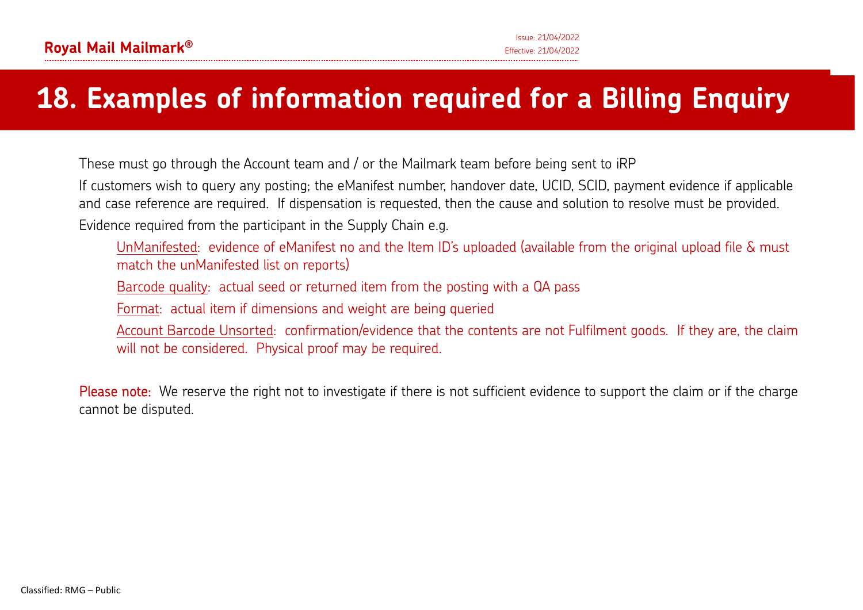# **18. Examples of information required for a Billing Enquiry**

These must go through the Account team and / or the Mailmark team before being sent to iRP

If customers wish to query any posting; the eManifest number, handover date, UCID, SCID, payment evidence if applicable and case reference are required. If dispensation is requested, then the cause and solution to resolve must be provided.

Evidence required from the participant in the Supply Chain e.g.

UnManifested: evidence of eManifest no and the Item ID's uploaded (available from the original upload file & must match the unManifested list on reports)

Barcode quality: actual seed or returned item from the posting with a QA pass

Format: actual item if dimensions and weight are being queried

Account Barcode Unsorted: confirmation/evidence that the contents are not Fulfilment goods. If they are, the claim will not be considered. Physical proof may be required.<br>Please note: We reserve the right not to investigate if there is not sufficient evidence to support the claim or if the charge

cannot be disputed.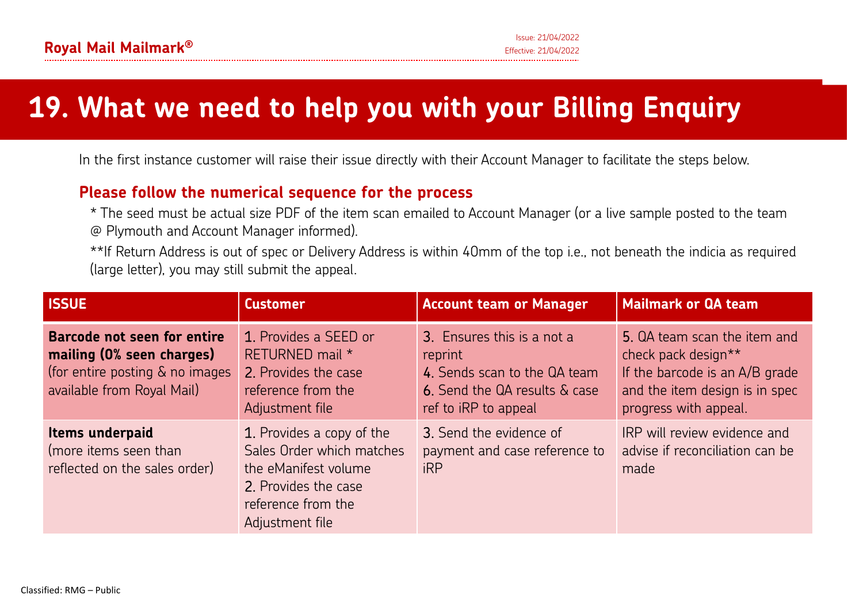# **19. What we need to help you with your Billing Enquiry**

In the first instance customer will raise their issue directly with their Account Manager to facilitate the steps below.

### **Please follow the numerical sequence for the process**

\* The seed must be actual size PDF of the item scan emailed to Account Manager (or a live sample posted to the team @ Plymouth and Account Manager informed).

\*\*If Return Address is out of spec or Delivery Address is within 40mm of the top i.e., not beneath the indicia as required (large letter), you may still submit the appeal.

| <b>ISSUE</b>                                                                                                              | <b>Customer</b>                                                                                                                                 | <b>Account team or Manager</b>                                                                                                 | <b>Mailmark or QA team</b>                                                                                                                       |
|---------------------------------------------------------------------------------------------------------------------------|-------------------------------------------------------------------------------------------------------------------------------------------------|--------------------------------------------------------------------------------------------------------------------------------|--------------------------------------------------------------------------------------------------------------------------------------------------|
| Barcode not seen for entire<br>mailing (0% seen charges)<br>(for entire posting & no images<br>available from Royal Mail) | 1. Provides a SEED or<br>RETURNED mail *<br>2. Provides the case<br>reference from the<br>Adjustment file                                       | 3. Ensures this is a not a<br>reprint<br>4. Sends scan to the QA team<br>6. Send the QA results & case<br>ref to iRP to appeal | 5. QA team scan the item and<br>check pack design**<br>If the barcode is an A/B grade<br>and the item design is in spec<br>progress with appeal. |
| Items underpaid<br>(more items seen than<br>reflected on the sales order)                                                 | 1. Provides a copy of the<br>Sales Order which matches<br>the eManifest volume<br>2. Provides the case<br>reference from the<br>Adjustment file | 3. Send the evidence of<br>payment and case reference to<br><b>iRP</b>                                                         | IRP will review evidence and<br>advise if reconciliation can be<br>made                                                                          |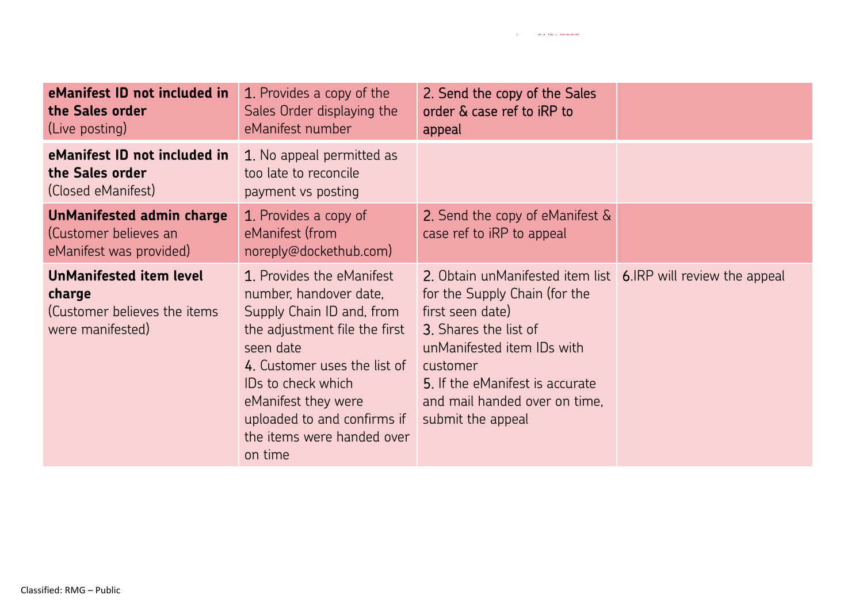| eManifest ID not included in<br>the Sales order<br>(Live posting)                            | 1. Provides a copy of the<br>Sales Order displaying the<br>eManifest number                                                                                                                                                                                                         | 2. Send the copy of the Sales<br>order & case ref to iRP to<br>appeal                                                                                                                                                                                                          |  |
|----------------------------------------------------------------------------------------------|-------------------------------------------------------------------------------------------------------------------------------------------------------------------------------------------------------------------------------------------------------------------------------------|--------------------------------------------------------------------------------------------------------------------------------------------------------------------------------------------------------------------------------------------------------------------------------|--|
| eManifest ID not included in<br>the Sales order<br>(Closed eManifest)                        | 1. No appeal permitted as<br>too late to reconcile<br>payment vs posting                                                                                                                                                                                                            |                                                                                                                                                                                                                                                                                |  |
| <b>UnManifested admin charge</b><br>(Customer believes an<br>eManifest was provided)         | 1. Provides a copy of<br>eManifest (from<br>noreply@dockethub.com)                                                                                                                                                                                                                  | 2. Send the copy of eManifest &<br>case ref to iRP to appeal                                                                                                                                                                                                                   |  |
| <b>UnManifested item level</b><br>charge<br>(Customer believes the items<br>were manifested) | 1. Provides the eManifest<br>number, handover date,<br>Supply Chain ID and, from<br>the adjustment file the first<br>seen date<br>4. Customer uses the list of<br>IDs to check which<br>eManifest they were<br>uploaded to and confirms if<br>the items were handed over<br>on time | 2. Obtain unManifested item list 6.IRP will review the appeal<br>for the Supply Chain (for the<br>first seen date)<br>3. Shares the list of<br>unManifested item IDs with<br>customer<br>5. If the eManifest is accurate<br>and mail handed over on time.<br>submit the appeal |  |
| Classified: RMG – Public                                                                     |                                                                                                                                                                                                                                                                                     |                                                                                                                                                                                                                                                                                |  |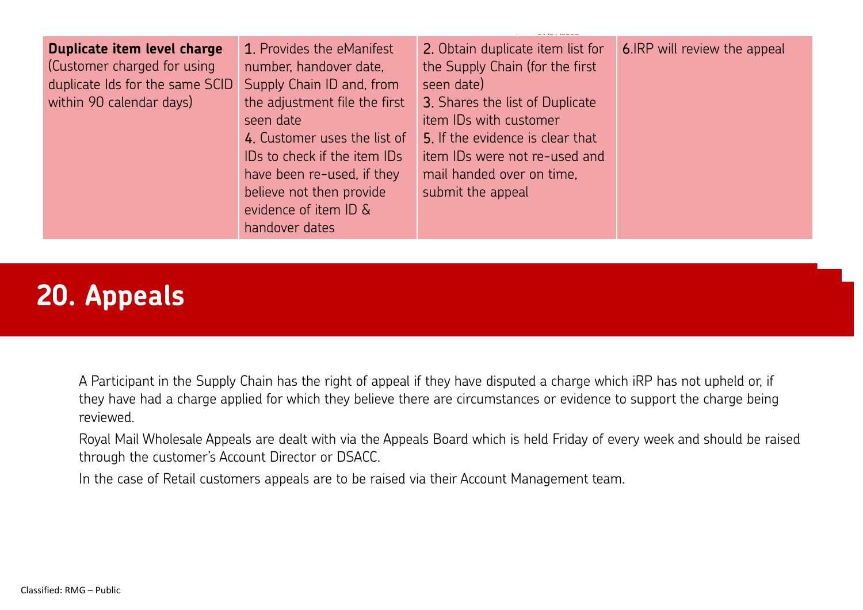| Duplicate item level charge<br>(Customer charged for using<br>duplicate Ids for the same SCID<br>within 90 calendar days) | 1. Provides the eManifest<br>number, handover date,<br>Supply Chain ID and, from<br>the adjustment file the first<br>seen date<br>4. Customer uses the list of<br>IDs to check if the item IDs<br>have been re-used, if they<br>believe not then provide<br>evidence of item ID &<br>handover dates | 2. Obtain duplicate item list for<br>the Supply Chain (for the first<br>seen date)<br>3. Shares the list of Duplicate<br>item IDs with customer<br>5. If the evidence is clear that<br>item IDs were not re-used and<br>mail handed over on time,<br>submit the appeal | 6. IRP will review the appeal |
|---------------------------------------------------------------------------------------------------------------------------|-----------------------------------------------------------------------------------------------------------------------------------------------------------------------------------------------------------------------------------------------------------------------------------------------------|------------------------------------------------------------------------------------------------------------------------------------------------------------------------------------------------------------------------------------------------------------------------|-------------------------------|
|---------------------------------------------------------------------------------------------------------------------------|-----------------------------------------------------------------------------------------------------------------------------------------------------------------------------------------------------------------------------------------------------------------------------------------------------|------------------------------------------------------------------------------------------------------------------------------------------------------------------------------------------------------------------------------------------------------------------------|-------------------------------|

### **20. Appeals**

A Participant in the Supply Chain has the right of appeal if they have disputed a charge which iRP has not upheld or, if they have had a charge applied for which they believe there are circumstances or evidence to support the charge being reviewed.

Royal Mail Wholesale Appeals are dealt with via the Appeals Board which is held Friday of every week and should be raised through the customer's Account Director or DSACC.

In the case of Retail customers appeals are to be raised via their Account Management team.